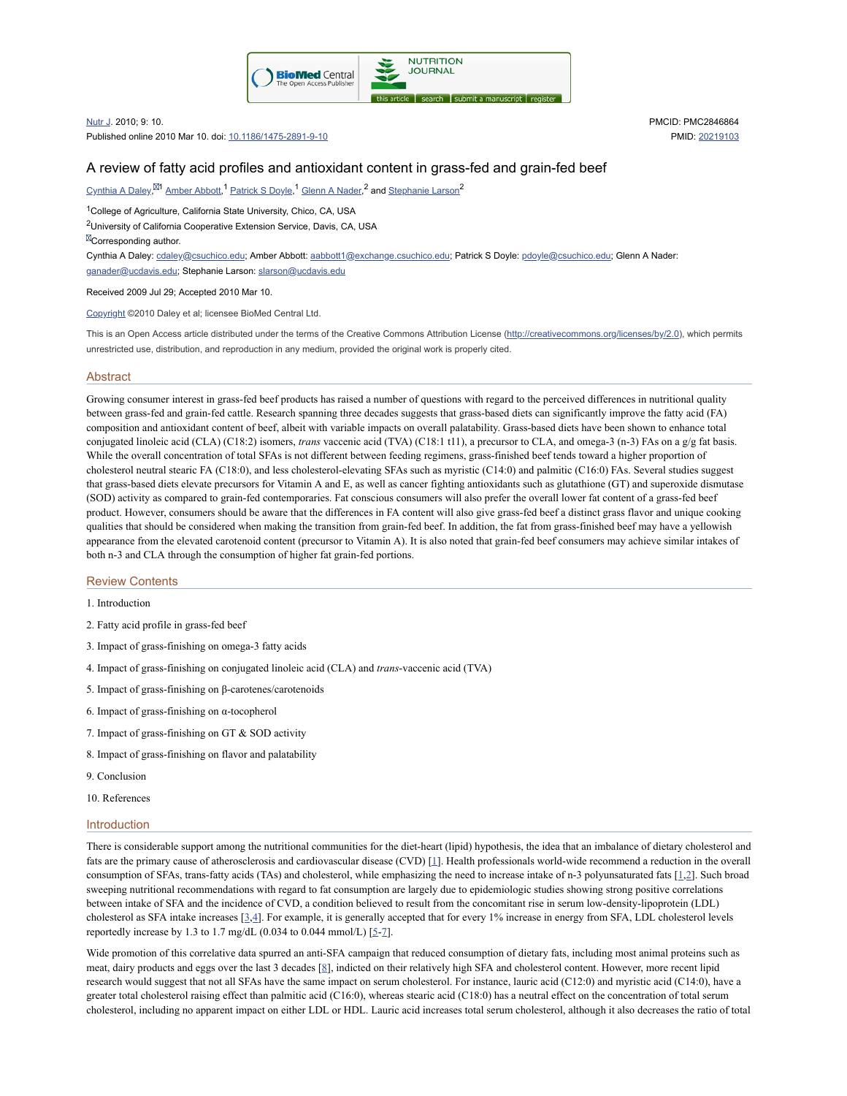

Nutr J. 2010; 9: 10.

Published online 2010 Mar 10. doi: [10.1186/1475-2891-9-10](https://dx.doi.org/10.1186%2F1475-2891-9-10)

PMCID: PMC2846864 PMID: [20219103](https://www.ncbi.nlm.nih.gov/pubmed/20219103)

# A review of fatty acid profiles and antioxidant content in grass-fed and grain-fed beef

 $\mu$ [Cynthia](https://www.ncbi.nlm.nih.gov/pubmed/?term=Daley%20CA%5BAuthor%5D&cauthor=true&cauthor_uid=20219103) A Daley, $^{\boxtimes 1}$  [Amber](https://www.ncbi.nlm.nih.gov/pubmed/?term=Abbott%20A%5BAuthor%5D&cauthor=true&cauthor_uid=20219103) Abbott,  $^1$  [Patrick](https://www.ncbi.nlm.nih.gov/pubmed/?term=Doyle%20PS%5BAuthor%5D&cauthor=true&cauthor_uid=20219103) S Doyle,  $^1$  Glenn A [Nader,](https://www.ncbi.nlm.nih.gov/pubmed/?term=Nader%20GA%5BAuthor%5D&cauthor=true&cauthor_uid=20219103)  $^2$  and [Stephanie](https://www.ncbi.nlm.nih.gov/pubmed/?term=Larson%20S%5BAuthor%5D&cauthor=true&cauthor_uid=20219103) Larson  $^2$ 

<sup>1</sup>College of Agriculture, California State University, Chico, CA, USA

<sup>2</sup>University of California Cooperative Extension Service, Davis, CA, USA

**ECorresponding author.** 

Cynthia A Daley: [cdaley@csuchico.edu](mailto:dev@null); Amber Abbott: [aabbott1@exchange.csuchico.edu;](mailto:dev@null) Patrick S Doyle: [pdoyle@csuchico.edu](mailto:dev@null); Glenn A Nader:

[ganader@ucdavis.edu;](mailto:dev@null) Stephanie Larson: [slarson@ucdavis.edu](mailto:dev@null)

Received 2009 Jul 29; Accepted 2010 Mar 10.

[Copyright](https://www.ncbi.nlm.nih.gov/pmc/about/copyright/) ©2010 Daley et al; licensee BioMed Central Ltd.

This is an Open Access article distributed under the terms of the Creative Commons Attribution License [\(http://creativecommons.org/licenses/by/2.0](http://creativecommons.org/licenses/by/2.0)), which permits unrestricted use, distribution, and reproduction in any medium, provided the original work is properly cited.

#### **Abstract**

Growing consumer interest in grass-fed beef products has raised a number of questions with regard to the perceived differences in nutritional quality between grass-fed and grain-fed cattle. Research spanning three decades suggests that grass-based diets can significantly improve the fatty acid (FA) composition and antioxidant content of beef, albeit with variable impacts on overall palatability. Grass-based diets have been shown to enhance total conjugated linoleic acid (CLA) (C18:2) isomers, *trans* vaccenic acid (TVA) (C18:1 t11), a precursor to CLA, and omega-3 (n-3) FAs on a g/g fat basis. While the overall concentration of total SFAs is not different between feeding regimens, grass-finished beef tends toward a higher proportion of cholesterol neutral stearic FA (C18:0), and less cholesterol-elevating SFAs such as myristic (C14:0) and palmitic (C16:0) FAs. Several studies suggest that grass-based diets elevate precursors for Vitamin A and E, as well as cancer fighting antioxidants such as glutathione (GT) and superoxide dismutase (SOD) activity as compared to grain-fed contemporaries. Fat conscious consumers will also prefer the overall lower fat content of a grass-fed beef product. However, consumers should be aware that the differences in FA content will also give grass-fed beef a distinct grass flavor and unique cooking qualities that should be considered when making the transition from grain-fed beef. In addition, the fat from grass-finished beef may have a yellowish appearance from the elevated carotenoid content (precursor to Vitamin A). It is also noted that grain-fed beef consumers may achieve similar intakes of both n-3 and CLA through the consumption of higher fat grain-fed portions.

### Review Contents

1. Introduction

2. Fatty acid profile in grass-fed beef

3. Impact of grass-finishing on omega-3 fatty acids

4. Impact of grass-finishing on conjugated linoleic acid (CLA) and *trans*-vaccenic acid (TVA)

5. Impact of grass-finishing on β-carotenes/carotenoids

6. Impact of grass-finishing on α-tocopherol

- 7. Impact of grass-finishing on GT & SOD activity
- 8. Impact of grass-finishing on flavor and palatability
- 9. Conclusion
- 10. References

### Introduction

There is considerable support among the nutritional communities for the diet-heart (lipid) hypothesis, the idea that an imbalance of dietary cholesterol and fats are the primary cause of atherosclerosis and cardiovascular disease (CVD) [[1\]](#page-8-0). Health professionals world-wide recommend a reduction in the overall consumption of SFAs, trans-fatty acids (TAs) and cholesterol, while emphasizing the need to increase intake of n-3 polyunsaturated fats [[1,](#page-8-0)[2\]](#page-8-1). Such broad sweeping nutritional recommendations with regard to fat consumption are largely due to epidemiologic studies showing strong positive correlations between intake of SFA and the incidence of CVD, a condition believed to result from the concomitant rise in serum low-density-lipoprotein (LDL) cholesterol as SFA intake increases  $[3,4]$  $[3,4]$  $[3,4]$ . For example, it is generally accepted that for every 1% increase in energy from SFA, LDL cholesterol levels reportedly increase by 1.3 to 1.7 mg/dL (0.034 to 0.044 mmol/L)  $[5-7]$  $[5-7]$  $[5-7]$  $[5-7]$ .

Wide promotion of this correlative data spurred an anti-SFA campaign that reduced consumption of dietary fats, including most animal proteins such as meat, dairy products and eggs over the last 3 decades [\[8\]](#page-8-6), indicted on their relatively high SFA and cholesterol content. However, more recent lipid research would suggest that not all SFAs have the same impact on serum cholesterol. For instance, lauric acid (C12:0) and myristic acid (C14:0), have a greater total cholesterol raising effect than palmitic acid (C16:0), whereas stearic acid (C18:0) has a neutral effect on the concentration of total serum cholesterol, including no apparent impact on either LDL or HDL. Lauric acid increases total serum cholesterol, although it also decreases the ratio of total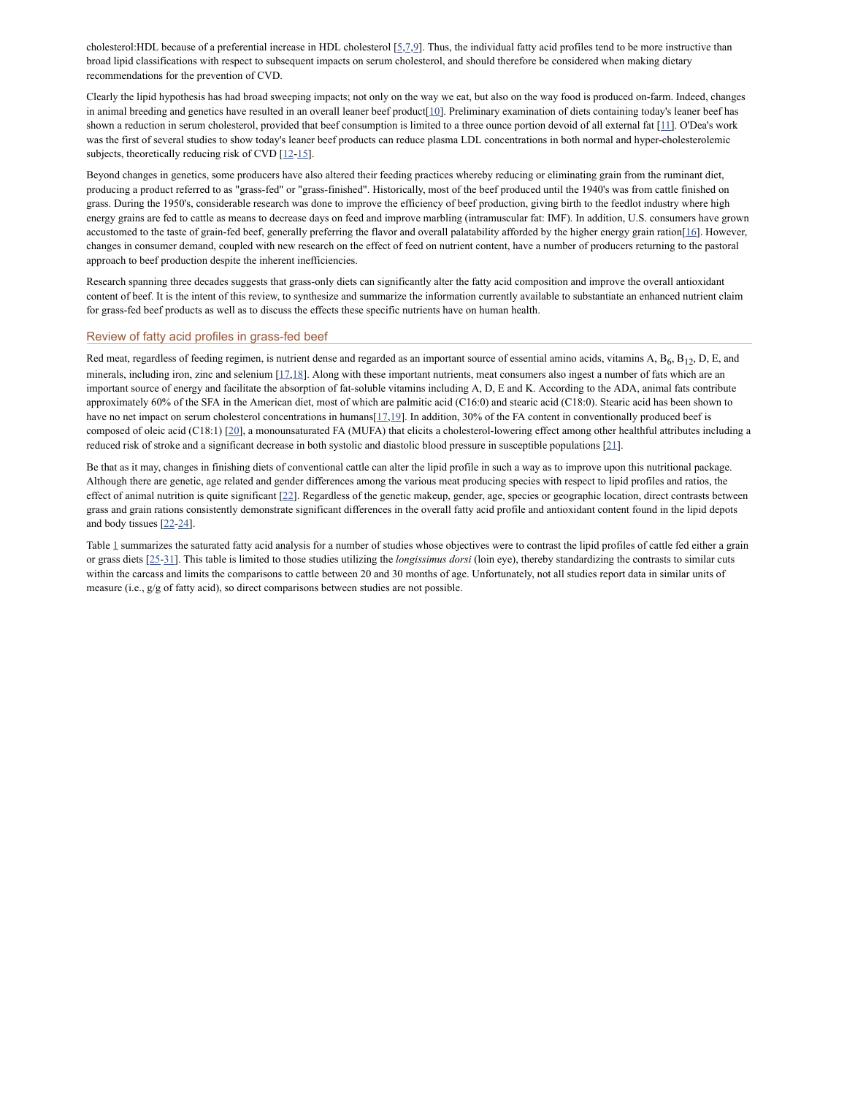cholesterol:HDL because of a preferential increase in HDL cholesterol [[5](#page-8-4)[,7](#page-8-5)[,9](#page-8-7)]. Thus, the individual fatty acid profiles tend to be more instructive than broad lipid classifications with respect to subsequent impacts on serum cholesterol, and should therefore be considered when making dietary recommendations for the prevention of CVD.

Clearly the lipid hypothesis has had broad sweeping impacts; not only on the way we eat, but also on the way food is produced on-farm. Indeed, changes in animal breeding and genetics have resulted in an overall leaner beef product  $[10]$  $[10]$ . Preliminary examination of diets containing today's leaner beef has shown a reduction in serum cholesterol, provided that beef consumption is limited to a three ounce portion devoid of all external fat [\[11\]](#page-8-9). O'Dea's work was the first of several studies to show today's leaner beef products can reduce plasma LDL concentrations in both normal and hyper-cholesterolemic subjects, theoretically reducing risk of CVD  $[12-15]$  $[12-15]$  $[12-15]$  $[12-15]$ .

Beyond changes in genetics, some producers have also altered their feeding practices whereby reducing or eliminating grain from the ruminant diet, producing a product referred to as "grass-fed" or "grass-finished". Historically, most of the beef produced until the 1940's was from cattle finished on grass. During the 1950's, considerable research was done to improve the efficiency of beef production, giving birth to the feedlot industry where high energy grains are fed to cattle as means to decrease days on feed and improve marbling (intramuscular fat: IMF). In addition, U.S. consumers have grown accustomed to the taste of grain-fed beef, generally preferring the flavor and overall palatability afforded by the higher energy grain ration[\[16](#page-8-12)]. However, changes in consumer demand, coupled with new research on the effect of feed on nutrient content, have a number of producers returning to the pastoral approach to beef production despite the inherent inefficiencies.

Research spanning three decades suggests that grass-only diets can significantly alter the fatty acid composition and improve the overall antioxidant content of beef. It is the intent of this review, to synthesize and summarize the information currently available to substantiate an enhanced nutrient claim for grass-fed beef products as well as to discuss the effects these specific nutrients have on human health.

# Review of fatty acid profiles in grass-fed beef

Red meat, regardless of feeding regimen, is nutrient dense and regarded as an important source of essential amino acids, vitamins A, B<sub>6</sub>, B<sub>12</sub>, D, E, and minerals, including iron, zinc and selenium [\[17,](#page-8-13)[18\]](#page-8-14). Along with these important nutrients, meat consumers also ingest a number of fats which are an important source of energy and facilitate the absorption of fat-soluble vitamins including A, D, E and K. According to the ADA, animal fats contribute approximately 60% of the SFA in the American diet, most of which are palmitic acid (C16:0) and stearic acid (C18:0). Stearic acid has been shown to have no net impact on serum cholesterol concentrations in humans [[17,](#page-8-13)[19](#page-8-15)]. In addition, 30% of the FA content in conventionally produced beef is composed of oleic acid (C18:1)  $[20]$  $[20]$  $[20]$ , a monounsaturated FA (MUFA) that elicits a cholesterol-lowering effect among other healthful attributes including a reduced risk of stroke and a significant decrease in both systolic and diastolic blood pressure in susceptible populations [\[21\]](#page-8-17).

Be that as it may, changes in finishing diets of conventional cattle can alter the lipid profile in such a way as to improve upon this nutritional package. Although there are genetic, age related and gender differences among the various meat producing species with respect to lipid profiles and ratios, the effect of animal nutrition is quite significant [[22](#page-8-18)]. Regardless of the genetic makeup, gender, age, species or geographic location, direct contrasts between grass and grain rations consistently demonstrate significant differences in the overall fatty acid profile and antioxidant content found in the lipid depots and body tissues [[22-](#page-8-18)[24\]](#page-8-19).

Table [1](https://www.ncbi.nlm.nih.gov/pmc/articles/PMC2846864/table/T1/) summarizes the saturated fatty acid analysis for a number of studies whose objectives were to contrast the lipid profiles of cattle fed either a grain or grass diets [\[25](#page-9-0)-[31\]](#page-9-1). This table is limited to those studies utilizing the *longissimus dorsi* (loin eye), thereby standardizing the contrasts to similar cuts within the carcass and limits the comparisons to cattle between 20 and 30 months of age. Unfortunately, not all studies report data in similar units of measure (i.e., g/g of fatty acid), so direct comparisons between studies are not possible.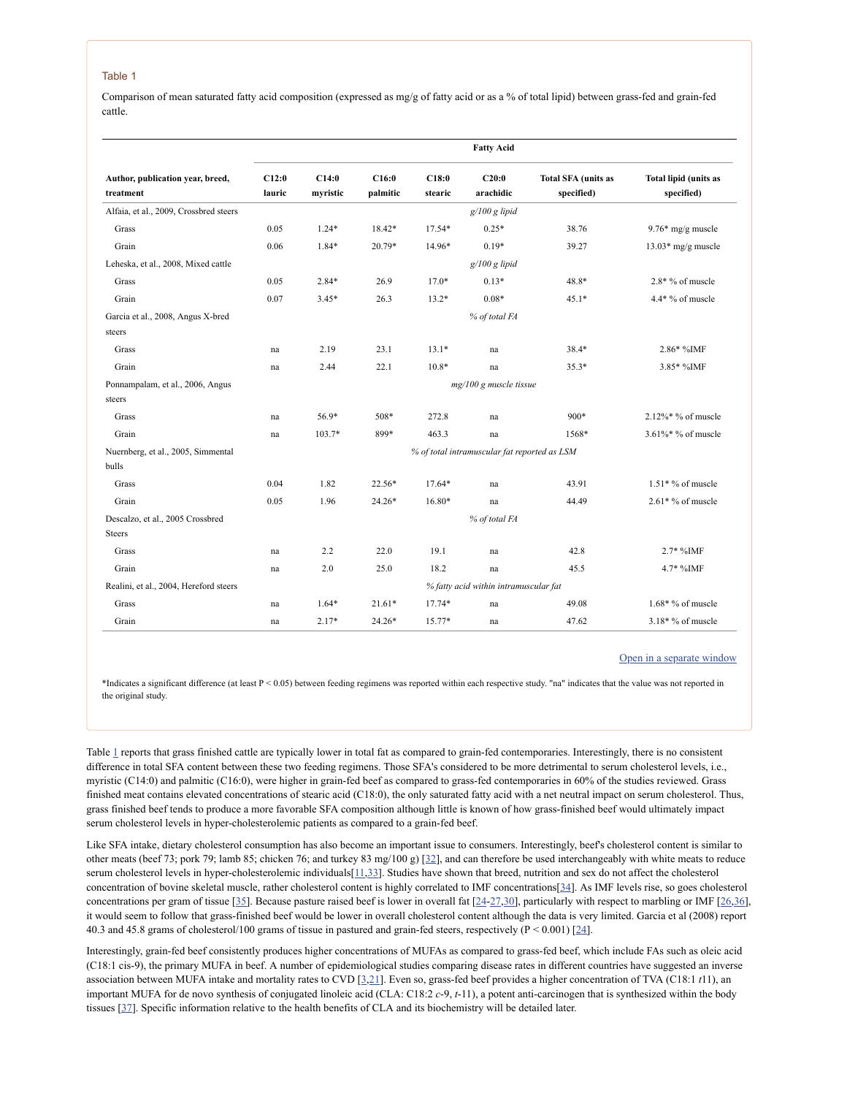### Table 1

Comparison of mean saturated fatty acid composition (expressed as mg/g of fatty acid or as a % of total lipid) between grass-fed and grain-fed cattle.

|                                                   |                                              |                   |                   |                  | <b>Fatty Acid</b>  |                                          |                                            |  |
|---------------------------------------------------|----------------------------------------------|-------------------|-------------------|------------------|--------------------|------------------------------------------|--------------------------------------------|--|
| Author, publication year, breed,<br>treatment     | C12:0<br>lauric                              | C14:0<br>myristic | C16:0<br>palmitic | C18:0<br>stearic | C20:0<br>arachidic | <b>Total SFA</b> (units as<br>specified) | <b>Total lipid (units as</b><br>specified) |  |
| Alfaia, et al., 2009, Crossbred steers            |                                              |                   |                   |                  | $g/100 g$ lipid    |                                          |                                            |  |
| Grass                                             | 0.05                                         | $1.24*$           | 18.42*            | 17.54*           | $0.25*$            | 38.76                                    | $9.76*$ mg/g muscle                        |  |
| Grain                                             | 0.06                                         | $1.84*$           | 20.79*            | 14.96*           | $0.19*$            | 39.27                                    | $13.03*$ mg/g muscle                       |  |
| Leheska, et al., 2008, Mixed cattle               |                                              |                   |                   |                  | $g/100 g$ lipid    |                                          |                                            |  |
| Grass                                             | 0.05                                         | $2.84*$           | 26.9              | $17.0*$          | $0.13*$            | 48.8*                                    | $2.8*$ % of muscle                         |  |
| Grain                                             | 0.07                                         | $3.45*$           | 26.3              | $13.2*$          | $0.08*$            | $45.1*$                                  | 4.4* % of muscle                           |  |
| Garcia et al., 2008, Angus X-bred                 |                                              |                   |                   |                  | % of total FA      |                                          |                                            |  |
| steers                                            |                                              |                   |                   |                  |                    |                                          |                                            |  |
| Grass                                             | na                                           | 2.19              | 23.1              | $13.1*$          | na                 | 38.4*                                    | 2.86* %IMF                                 |  |
| Grain                                             | na                                           | 2.44              | 22.1              | $10.8*$          | na                 | $35.3*$                                  | 3.85* %IMF                                 |  |
| Ponnampalam, et al., 2006, Angus<br>steers        | $mg/100 g$ muscle tissue                     |                   |                   |                  |                    |                                          |                                            |  |
| Grass                                             | na                                           | 56.9*             | 508*              | 272.8            | na                 | 900*                                     | $2.12\%*$ % of muscle                      |  |
| Grain                                             | na                                           | 103.7*            | 899*              | 463.3            | na                 | 1568*                                    | 3.61%* % of muscle                         |  |
| Nuernberg, et al., 2005, Simmental<br>bulls       | % of total intramuscular fat reported as LSM |                   |                   |                  |                    |                                          |                                            |  |
| Grass                                             | 0.04                                         | 1.82              | 22.56*            | 17.64*           | na                 | 43.91                                    | $1.51*$ % of muscle                        |  |
| Grain                                             | 0.05                                         | 1.96              | 24.26*            | 16.80*           | na                 | 44.49                                    | $2.61*$ % of muscle                        |  |
| Descalzo, et al., 2005 Crossbred<br><b>Steers</b> |                                              |                   |                   |                  | % of total FA      |                                          |                                            |  |
| Grass                                             | na                                           | 2.2               | 22.0              | 19.1             | na                 | 42.8                                     | $2.7*$ %IMF                                |  |
| Grain                                             | na                                           | 2.0               | 25.0              | 18.2             | na                 | 45.5                                     | 4.7* %IMF                                  |  |
| Realini, et al., 2004, Hereford steers            | % fatty acid within intramuscular fat        |                   |                   |                  |                    |                                          |                                            |  |
| Grass                                             | na                                           | $1.64*$           | $21.61*$          | 17.74*           | na                 | 49.08                                    | $1.68*$ % of muscle                        |  |
| Grain                                             | na                                           | $2.17*$           | 24.26*            | 15.77*           | na                 | 47.62                                    | $3.18*$ % of muscle                        |  |

Open in a [separate](https://www.ncbi.nlm.nih.gov/pmc/articles/PMC2846864/table/T1/?report=objectonly) window

\*Indicates a significant difference (at least P < 0.05) between feeding regimens was reported within each respective study. "na" indicates that the value was not reported in the original study.

Table [1](https://www.ncbi.nlm.nih.gov/pmc/articles/PMC2846864/table/T1/) reports that grass finished cattle are typically lower in total fat as compared to grain-fed contemporaries. Interestingly, there is no consistent difference in total SFA content between these two feeding regimens. Those SFA's considered to be more detrimental to serum cholesterol levels, i.e., myristic (C14:0) and palmitic (C16:0), were higher in grain-fed beef as compared to grass-fed contemporaries in 60% of the studies reviewed. Grass finished meat contains elevated concentrations of stearic acid (C18:0), the only saturated fatty acid with a net neutral impact on serum cholesterol. Thus, grass finished beef tends to produce a more favorable SFA composition although little is known of how grass-finished beef would ultimately impact serum cholesterol levels in hyper-cholesterolemic patients as compared to a grain-fed beef.

Like SFA intake, dietary cholesterol consumption has also become an important issue to consumers. Interestingly, beef's cholesterol content is similar to other meats (beef 73; pork 79; lamb 85; chicken 76; and turkey 83 mg/100 g) [[32\]](#page-9-2), and can therefore be used interchangeably with white meats to reduce serum cholesterol levels in hyper-cholesterolemic individuals [[11](#page-8-9)[,33\]](#page-9-3). Studies have shown that breed, nutrition and sex do not affect the cholesterol concentration of bovine skeletal muscle, rather cholesterol content is highly correlated to IMF concentrations[[34](#page-9-4)]. As IMF levels rise, so goes cholesterol concentrations per gram of tissue [\[35](#page-9-5)]. Because pasture raised beef is lower in overall fat [[24](#page-8-19)-[27,](#page-9-6)[30](#page-9-7)], particularly with respect to marbling or IMF [[26](#page-9-8)[,36](#page-9-9)], it would seem to follow that grass-finished beef would be lower in overall cholesterol content although the data is very limited. Garcia et al (2008) report 40.3 and 45.8 grams of cholesterol/100 grams of tissue in pastured and grain-fed steers, respectively ( $P < 0.001$ ) [[24\]](#page-8-19).

Interestingly, grain-fed beef consistently produces higher concentrations of MUFAs as compared to grass-fed beef, which include FAs such as oleic acid (C18:1 cis-9), the primary MUFA in beef. A number of epidemiological studies comparing disease rates in different countries have suggested an inverse association between MUFA intake and mortality rates to CVD [[3,](#page-8-2)[21](#page-8-17)]. Even so, grass-fed beef provides a higher concentration of TVA (C18:1 *t*11), an important MUFA for de novo synthesis of conjugated linoleic acid (CLA: C18:2 *c*-9, *t*-11), a potent anti-carcinogen that is synthesized within the body tissues [[37\]](#page-9-10). Specific information relative to the health benefits of CLA and its biochemistry will be detailed later.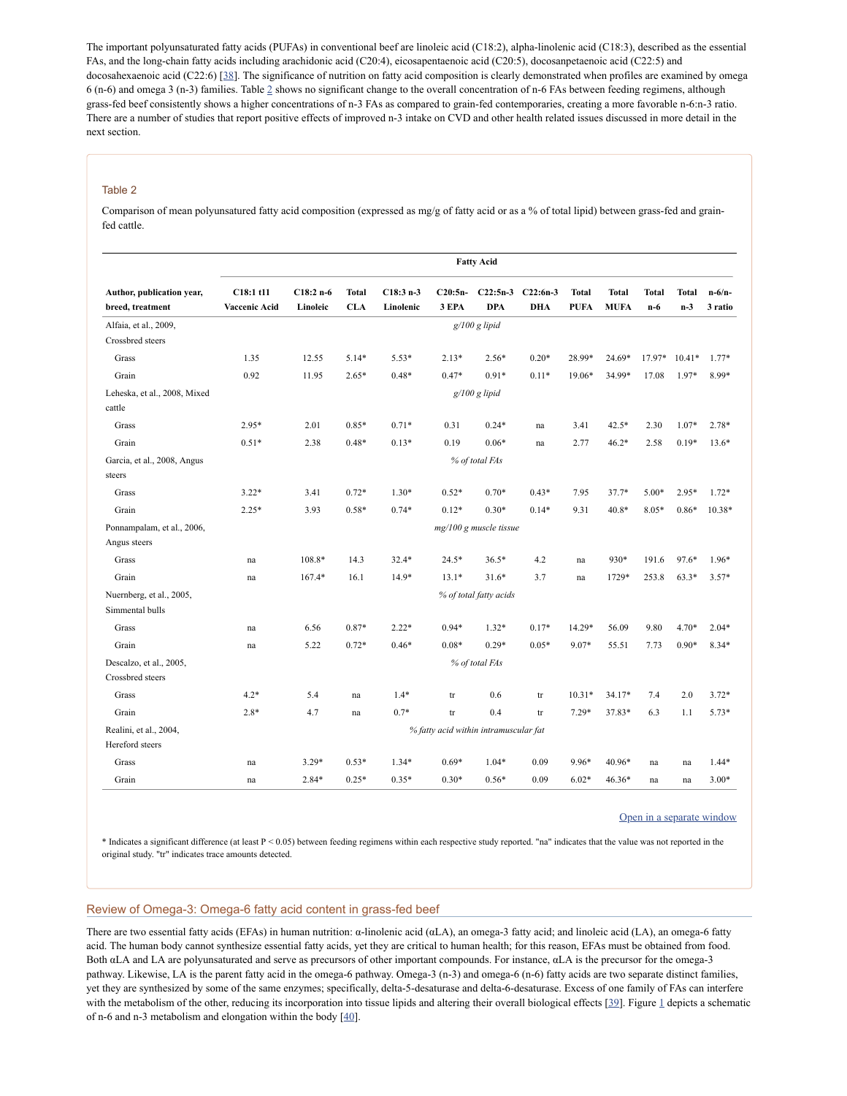The important polyunsaturated fatty acids (PUFAs) in conventional beef are linoleic acid (C18:2), alpha-linolenic acid (C18:3), described as the essential FAs, and the long-chain fatty acids including arachidonic acid (C20:4), eicosapentaenoic acid (C20:5), docosanpetaenoic acid (C22:5) and docosahexaenoic acid (C22:6) [[38](#page-9-11)]. The significance of nutrition on fatty acid composition is clearly demonstrated when profiles are examined by omega 6 (n-6) and omega 3 (n-3) families. Table [2](https://www.ncbi.nlm.nih.gov/pmc/articles/PMC2846864/table/T2/) shows no significant change to the overall concentration of n-6 FAs between feeding regimens, although grass-fed beef consistently shows a higher concentrations of n-3 FAs as compared to grain-fed contemporaries, creating a more favorable n-6:n-3 ratio. There are a number of studies that report positive effects of improved n-3 intake on CVD and other health related issues discussed in more detail in the next section.

### Table 2

Comparison of mean polyunsatured fatty acid composition (expressed as mg/g of fatty acid or as a % of total lipid) between grass-fed and grainfed cattle.

|                                               | <b>Fatty Acid</b>                     |                        |                            |                         |                    |                          |                          |                             |                             |                       |                       |                     |
|-----------------------------------------------|---------------------------------------|------------------------|----------------------------|-------------------------|--------------------|--------------------------|--------------------------|-----------------------------|-----------------------------|-----------------------|-----------------------|---------------------|
| Author, publication year,<br>breed, treatment | C18:1 t11<br><b>Vaccenic Acid</b>     | $C18:2n-6$<br>Linoleic | <b>Total</b><br><b>CLA</b> | $C18:3n-3$<br>Linolenic | $C20:5n-$<br>3 EPA | $C22:5n-3$<br><b>DPA</b> | $C22:6n-3$<br><b>DHA</b> | <b>Total</b><br><b>PUFA</b> | <b>Total</b><br><b>MUFA</b> | <b>Total</b><br>$n-6$ | <b>Total</b><br>$n-3$ | $n-6/n-$<br>3 ratio |
| Alfaia, et al., 2009,<br>Crossbred steers     |                                       |                        |                            |                         |                    | $g/100 g$ lipid          |                          |                             |                             |                       |                       |                     |
| Grass                                         | 1.35                                  | 12.55                  | $5.14*$                    | $5.53*$                 | $2.13*$            | $2.56*$                  | $0.20*$                  | 28.99*                      | 24.69*                      | 17.97*                | $10.41*$              | $1.77*$             |
| Grain                                         | 0.92                                  | 11.95                  | $2.65*$                    | $0.48*$                 | $0.47*$            | $0.91*$                  | $0.11*$                  | 19.06*                      | 34.99*                      | 17.08                 | $1.97*$               | 8.99*               |
| Leheska, et al., 2008, Mixed<br>cattle        | $g/100 g$ lipid                       |                        |                            |                         |                    |                          |                          |                             |                             |                       |                       |                     |
| Grass                                         | $2.95*$                               | 2.01                   | $0.85*$                    | $0.71*$                 | 0.31               | $0.24*$                  | na                       | 3.41                        | 42.5*                       | 2.30                  | $1.07*$               | $2.78*$             |
| Grain                                         | $0.51*$                               | 2.38                   | $0.48*$                    | $0.13*$                 | 0.19               | $0.06*$                  | na                       | 2.77                        | $46.2*$                     | 2.58                  | $0.19*$               | $13.6*$             |
| Garcia, et al., 2008, Angus<br>steers         | % of total FAs                        |                        |                            |                         |                    |                          |                          |                             |                             |                       |                       |                     |
| Grass                                         | $3.22*$                               | 3.41                   | $0.72*$                    | $1.30*$                 | $0.52*$            | $0.70*$                  | $0.43*$                  | 7.95                        | $37.7*$                     | $5.00*$               | $2.95*$               | $1.72*$             |
| Grain                                         | $2.25*$                               | 3.93                   | $0.58*$                    | $0.74*$                 | $0.12*$            | $0.30*$                  | $0.14*$                  | 9.31                        | $40.8*$                     | 8.05*                 | $0.86*$               | $10.38*$            |
| Ponnampalam, et al., 2006,<br>Angus steers    | $mg/100 g$ muscle tissue              |                        |                            |                         |                    |                          |                          |                             |                             |                       |                       |                     |
| Grass                                         | na                                    | 108.8*                 | 14.3                       | $32.4*$                 | $24.5*$            | $36.5*$                  | 4.2                      | na                          | 930*                        | 191.6                 | 97.6*                 | $1.96*$             |
| Grain                                         | na                                    | 167.4*                 | 16.1                       | $14.9*$                 | $13.1*$            | $31.6*$                  | 3.7                      | na                          | 1729*                       | 253.8                 | $63.3*$               | $3.57*$             |
| Nuernberg, et al., 2005,<br>Simmental bulls   |                                       |                        |                            |                         |                    | % of total fatty acids   |                          |                             |                             |                       |                       |                     |
| Grass                                         | na                                    | 6.56                   | 0.87*                      | $2.22*$                 | $0.94*$            | $1.32*$                  | $0.17*$                  | 14.29*                      | 56.09                       | 9.80                  | 4.70*                 | $2.04*$             |
| Grain                                         | na                                    | 5.22                   | $0.72*$                    | $0.46*$                 | $0.08*$            | $0.29*$                  | $0.05*$                  | 9.07*                       | 55.51                       | 7.73                  | $0.90*$               | $8.34*$             |
| Descalzo, et al., 2005,<br>Crossbred steers   |                                       |                        |                            |                         |                    | % of total FAs           |                          |                             |                             |                       |                       |                     |
| Grass                                         | $4.2*$                                | 5.4                    | na                         | $1.4*$                  | tr                 | 0.6                      | tr                       | $10.31*$                    | 34.17*                      | 7.4                   | 2.0                   | $3.72*$             |
| Grain                                         | $2.8*$                                | 4.7                    | na                         | $0.7*$                  | tr                 | 0.4                      | $\mathop{\mathrm{tr}}$   | $7.29*$                     | 37.83*                      | 6.3                   | 1.1                   | $5.73*$             |
| Realini, et al., 2004,<br>Hereford steers     | % fatty acid within intramuscular fat |                        |                            |                         |                    |                          |                          |                             |                             |                       |                       |                     |
| Grass                                         | na                                    | $3.29*$                | $0.53*$                    | $1.34*$                 | $0.69*$            | $1.04*$                  | 0.09                     | 9.96*                       | 40.96*                      | na                    | na                    | $1.44*$             |
| Grain                                         | na                                    | $2.84*$                | $0.25*$                    | $0.35*$                 | $0.30*$            | $0.56*$                  | 0.09                     | $6.02*$                     | 46.36*                      | na                    | na                    | $3.00*$             |

Open in a [separate](https://www.ncbi.nlm.nih.gov/pmc/articles/PMC2846864/table/T2/?report=objectonly) window

\* Indicates a significant difference (at least P < 0.05) between feeding regimens within each respective study reported. "na" indicates that the value was not reported in the original study. "tr" indicates trace amounts detected.

# Review of Omega-3: Omega-6 fatty acid content in grass-fed beef

There are two essential fatty acids (EFAs) in human nutrition: α-linolenic acid (αLA), an omega-3 fatty acid; and linoleic acid (LA), an omega-6 fatty acid. The human body cannot synthesize essential fatty acids, yet they are critical to human health; for this reason, EFAs must be obtained from food. Both αLA and LA are polyunsaturated and serve as precursors of other important compounds. For instance, αLA is the precursor for the omega-3 pathway. Likewise, LA is the parent fatty acid in the omega-6 pathway. Omega-3 (n-3) and omega-6 (n-6) fatty acids are two separate distinct families, yet they are synthesized by some of the same enzymes; specifically, delta-5-desaturase and delta-6-desaturase. Excess of one family of FAs can interfere with the metabolism of the other, reducing its incorporation into tissue lipids and altering their overall biological effects [[39](#page-9-12)]. Figure [1](https://www.ncbi.nlm.nih.gov/pmc/articles/PMC2846864/figure/F1/) depicts a schematic of n-6 and n-3 metabolism and elongation within the body [[40\]](#page-9-13).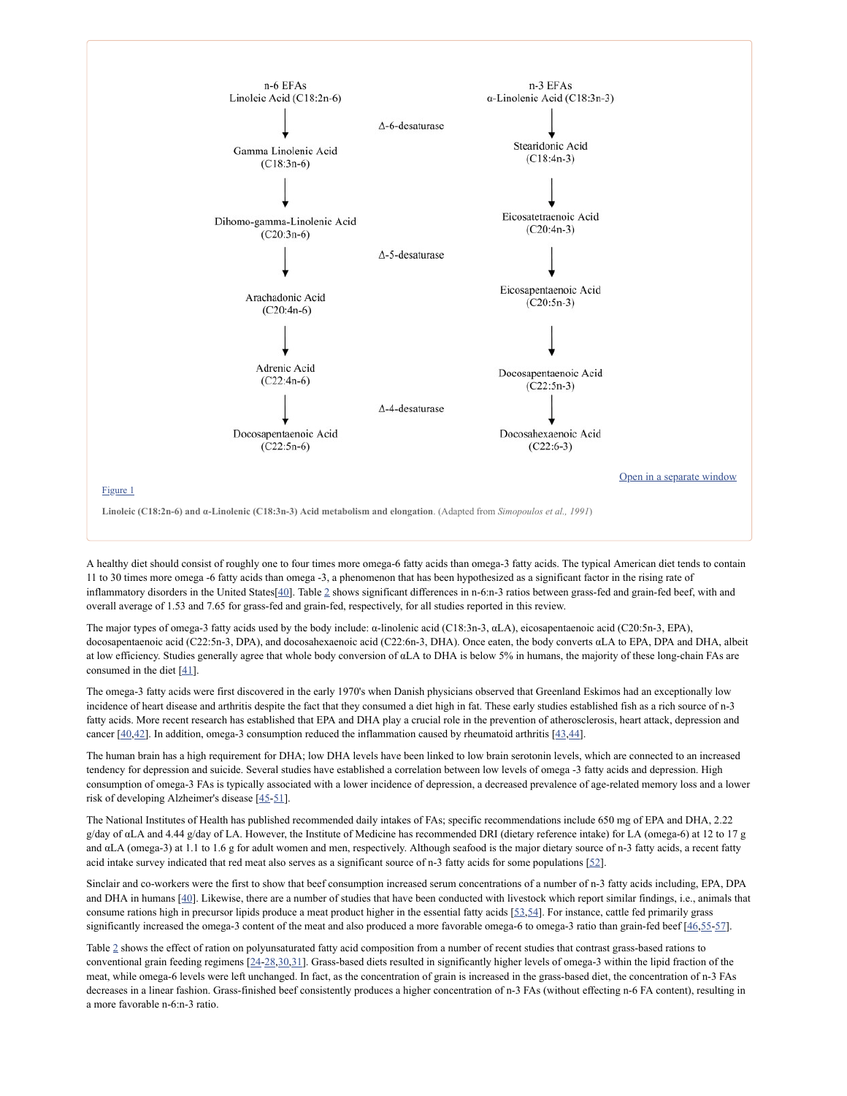

A healthy diet should consist of roughly one to four times more omega-6 fatty acids than omega-3 fatty acids. The typical American diet tends to contain 11 to 30 times more omega -6 fatty acids than omega -3, a phenomenon that has been hypothesized as a significant factor in the rising rate of inflammatory disorders in the United States<sup>[\[40](#page-9-13)]</sup>. Table [2](https://www.ncbi.nlm.nih.gov/pmc/articles/PMC2846864/table/T2/) shows significant differences in n-6:n-3 ratios between grass-fed and grain-fed beef, with and overall average of 1.53 and 7.65 for grass-fed and grain-fed, respectively, for all studies reported in this review.

The major types of omega-3 fatty acids used by the body include: α-linolenic acid (C18:3n-3, αLA), eicosapentaenoic acid (C20:5n-3, EPA), docosapentaenoic acid (C22:5n-3, DPA), and docosahexaenoic acid (C22:6n-3, DHA). Once eaten, the body converts αLA to EPA, DPA and DHA, albeit at low efficiency. Studies generally agree that whole body conversion of αLA to DHA is below 5% in humans, the majority of these long-chain FAs are consumed in the diet  $[41]$  $[41]$ .

The omega-3 fatty acids were first discovered in the early 1970's when Danish physicians observed that Greenland Eskimos had an exceptionally low incidence of heart disease and arthritis despite the fact that they consumed a diet high in fat. These early studies established fish as a rich source of n-3 fatty acids. More recent research has established that EPA and DHA play a crucial role in the prevention of atherosclerosis, heart attack, depression and cancer  $[40,42]$  $[40,42]$  $[40,42]$ . In addition, omega-3 consumption reduced the inflammation caused by rheumatoid arthritis  $[43,44]$  $[43,44]$ .

The human brain has a high requirement for DHA; low DHA levels have been linked to low brain serotonin levels, which are connected to an increased tendency for depression and suicide. Several studies have established a correlation between low levels of omega -3 fatty acids and depression. High consumption of omega-3 FAs is typically associated with a lower incidence of depression, a decreased prevalence of age-related memory loss and a lower risk of developing Alzheimer's disease [[45](#page-9-18)[-51\]](#page-9-19).

The National Institutes of Health has published recommended daily intakes of FAs; specific recommendations include 650 mg of EPA and DHA, 2.22 g/day of αLA and 4.44 g/day of LA. However, the Institute of Medicine has recommended DRI (dietary reference intake) for LA (omega-6) at 12 to 17 g and αLA (omega-3) at 1.1 to 1.6 g for adult women and men, respectively. Although seafood is the major dietary source of n-3 fatty acids, a recent fatty acid intake survey indicated that red meat also serves as a significant source of n-3 fatty acids for some populations [[52\]](#page-9-20).

Sinclair and co-workers were the first to show that beef consumption increased serum concentrations of a number of n-3 fatty acids including, EPA, DPA and DHA in humans [\[40](#page-9-13)]. Likewise, there are a number of studies that have been conducted with livestock which report similar findings, i.e., animals that consume rations high in precursor lipids produce a meat product higher in the essential fatty acids [\[53](#page-9-21)[,54\]](#page-9-22). For instance, cattle fed primarily grass significantly increased the omega-3 content of the meat and also produced a more favorable omega-6 to omega-3 ratio than grain-fed beef [[46,](#page-9-23)[55](#page-9-24)-[57\]](#page-10-0).

Table [2](https://www.ncbi.nlm.nih.gov/pmc/articles/PMC2846864/table/T2/) shows the effect of ration on polyunsaturated fatty acid composition from a number of recent studies that contrast grass-based rations to conventional grain feeding regimens [\[24](#page-8-19)[-28](#page-9-25)[,30](#page-9-7)[,31\]](#page-9-1). Grass-based diets resulted in significantly higher levels of omega-3 within the lipid fraction of the meat, while omega-6 levels were left unchanged. In fact, as the concentration of grain is increased in the grass-based diet, the concentration of n-3 FAs decreases in a linear fashion. Grass-finished beef consistently produces a higher concentration of n-3 FAs (without effecting n-6 FA content), resulting in a more favorable n-6:n-3 ratio.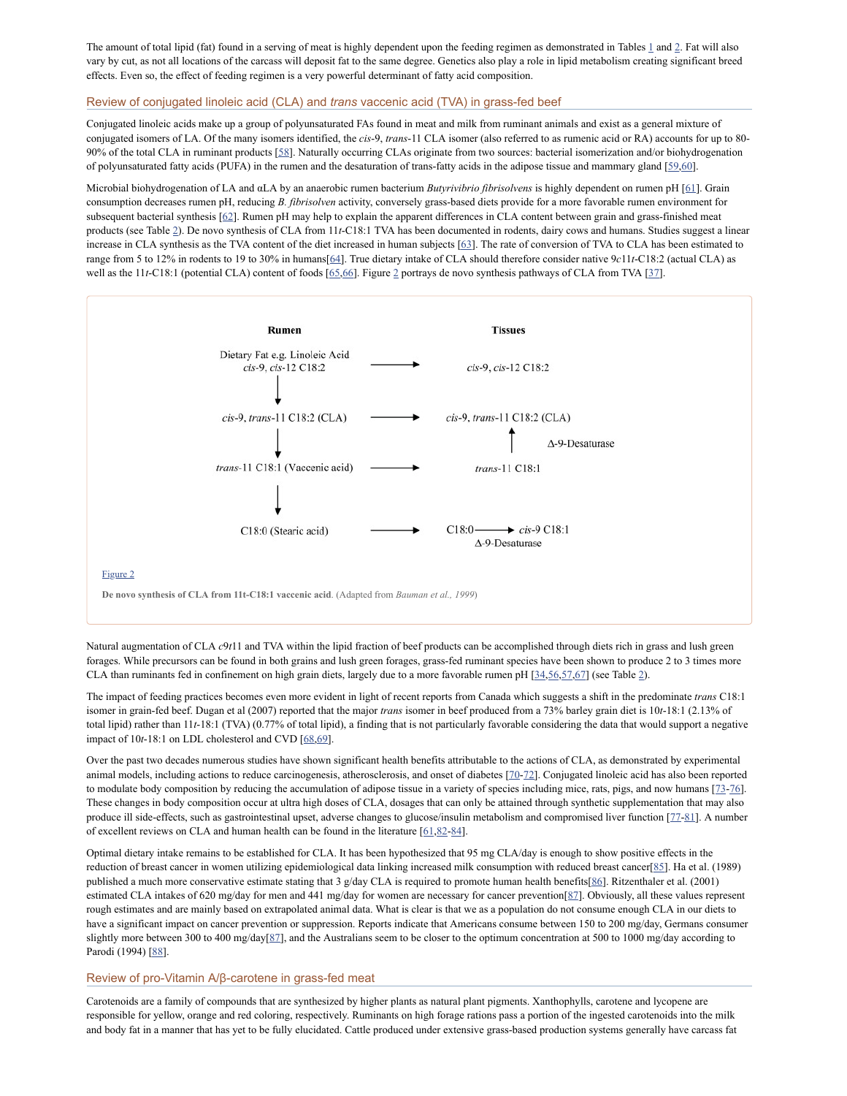The amount of total lipid (fat) found in a serving of meat is highly dependent upon the feeding regimen as demonstrated in Tables [1](https://www.ncbi.nlm.nih.gov/pmc/articles/PMC2846864/table/T1/) and [2](https://www.ncbi.nlm.nih.gov/pmc/articles/PMC2846864/table/T2/). Fat will also vary by cut, as not all locations of the carcass will deposit fat to the same degree. Genetics also play a role in lipid metabolism creating significant breed effects. Even so, the effect of feeding regimen is a very powerful determinant of fatty acid composition.

# Review of conjugated linoleic acid (CLA) and *trans* vaccenic acid (TVA) in grass-fed beef

Conjugated linoleic acids make up a group of polyunsaturated FAs found in meat and milk from ruminant animals and exist as a general mixture of conjugated isomers of LA. Of the many isomers identified, the *cis*-9, *trans*-11 CLA isomer (also referred to as rumenic acid or RA) accounts for up to 80- 90% of the total CLA in ruminant products [[58](#page-10-1)]. Naturally occurring CLAs originate from two sources: bacterial isomerization and/or biohydrogenation of polyunsaturated fatty acids (PUFA) in the rumen and the desaturation of trans-fatty acids in the adipose tissue and mammary gland [[59](#page-10-2)[,60](#page-10-3)].

Microbial biohydrogenation of LA and αLA by an anaerobic rumen bacterium *Butyrivibrio fibrisolvens* is highly dependent on rumen pH [\[61\]](#page-10-4). Grain consumption decreases rumen pH, reducing *B. fibrisolven* activity, conversely grass-based diets provide for a more favorable rumen environment for subsequent bacterial synthesis [\[62\]](#page-10-5). Rumen pH may help to explain the apparent differences in CLA content between grain and grass-finished meat products (see Table [2\)](https://www.ncbi.nlm.nih.gov/pmc/articles/PMC2846864/table/T2/). De novo synthesis of CLA from 11*t*-C18:1 TVA has been documented in rodents, dairy cows and humans. Studies suggest a linear increase in CLA synthesis as the TVA content of the diet increased in human subjects [[63\]](#page-10-6). The rate of conversion of TVA to CLA has been estimated to range from 5 to 12% in rodents to 19 to 30% in humans[[64\]](#page-10-7). True dietary intake of CLA should therefore consider native 9*c*11*t*-C18:2 (actual CLA) as well as the 11*t*-C18:1 (potential CLA) content of foods  $[65,66]$  $[65,66]$ . Figure [2](https://www.ncbi.nlm.nih.gov/pmc/articles/PMC2846864/figure/F2/) portrays de novo synthesis pathways of CLA from TVA [\[37](#page-9-10)].



Natural augmentation of CLA *c*9*t*11 and TVA within the lipid fraction of beef products can be accomplished through diets rich in grass and lush green forages. While precursors can be found in both grains and lush green forages, grass-fed ruminant species have been shown to produce 2 to 3 times more CLA than ruminants fed in confinement on high grain diets, largely due to a more favorable rumen pH  $[34,56,57,67]$  $[34,56,57,67]$  $[34,56,57,67]$  $[34,56,57,67]$  $[34,56,57,67]$  (see Table [2](https://www.ncbi.nlm.nih.gov/pmc/articles/PMC2846864/table/T2/)).

The impact of feeding practices becomes even more evident in light of recent reports from Canada which suggests a shift in the predominate *trans* C18:1 isomer in grain-fed beef. Dugan et al (2007) reported that the major *trans* isomer in beef produced from a 73% barley grain diet is 10*t*-18:1 (2.13% of total lipid) rather than 11*t*-18:1 (TVA) (0.77% of total lipid), a finding that is not particularly favorable considering the data that would support a negative impact of 10t-18:1 on LDL cholesterol and CVD [[68](#page-10-12)[,69](#page-10-13)].

Over the past two decades numerous studies have shown significant health benefits attributable to the actions of CLA, as demonstrated by experimental animal models, including actions to reduce carcinogenesis, atherosclerosis, and onset of diabetes [\[70](#page-10-14)-[72\]](#page-10-15). Conjugated linoleic acid has also been reported to modulate body composition by reducing the accumulation of adipose tissue in a variety of species including mice, rats, pigs, and now humans [23-[76](#page-10-17)]. These changes in body composition occur at ultra high doses of CLA, dosages that can only be attained through synthetic supplementation that may also produce ill side-effects, such as gastrointestinal upset, adverse changes to glucose/insulin metabolism and compromised liver function [\[77](#page-10-18)-[81\]](#page-10-19). A number of excellent reviews on CLA and human health can be found in the literature [[61](#page-10-4)[,82-](#page-10-20)[84](#page-10-21)].

Optimal dietary intake remains to be established for CLA. It has been hypothesized that 95 mg CLA/day is enough to show positive effects in the reduction of breast cancer in women utilizing epidemiological data linking increased milk consumption with reduced breast cancer[\[85\]](#page-10-22). Ha et al. (1989) published a much more conservative estimate stating that 3 g/day CLA is required to promote human health benefits[\[86](#page-10-23)]. Ritzenthaler et al. (2001) estimated CLA intakes of 620 mg/day for men and 441 mg/day for women are necessary for cancer prevention[\[87\]](#page-11-0). Obviously, all these values represent rough estimates and are mainly based on extrapolated animal data. What is clear is that we as a population do not consume enough CLA in our diets to have a significant impact on cancer prevention or suppression. Reports indicate that Americans consume between 150 to 200 mg/day, Germans consumer slightly more between 300 to 400 mg/day[\[87\]](#page-11-0), and the Australians seem to be closer to the optimum concentration at 500 to 1000 mg/day according to Parodi (1994) [\[88\]](#page-11-1).

# Review of pro-Vitamin A/β-carotene in grass-fed meat

Carotenoids are a family of compounds that are synthesized by higher plants as natural plant pigments. Xanthophylls, carotene and lycopene are responsible for yellow, orange and red coloring, respectively. Ruminants on high forage rations pass a portion of the ingested carotenoids into the milk and body fat in a manner that has yet to be fully elucidated. Cattle produced under extensive grass-based production systems generally have carcass fat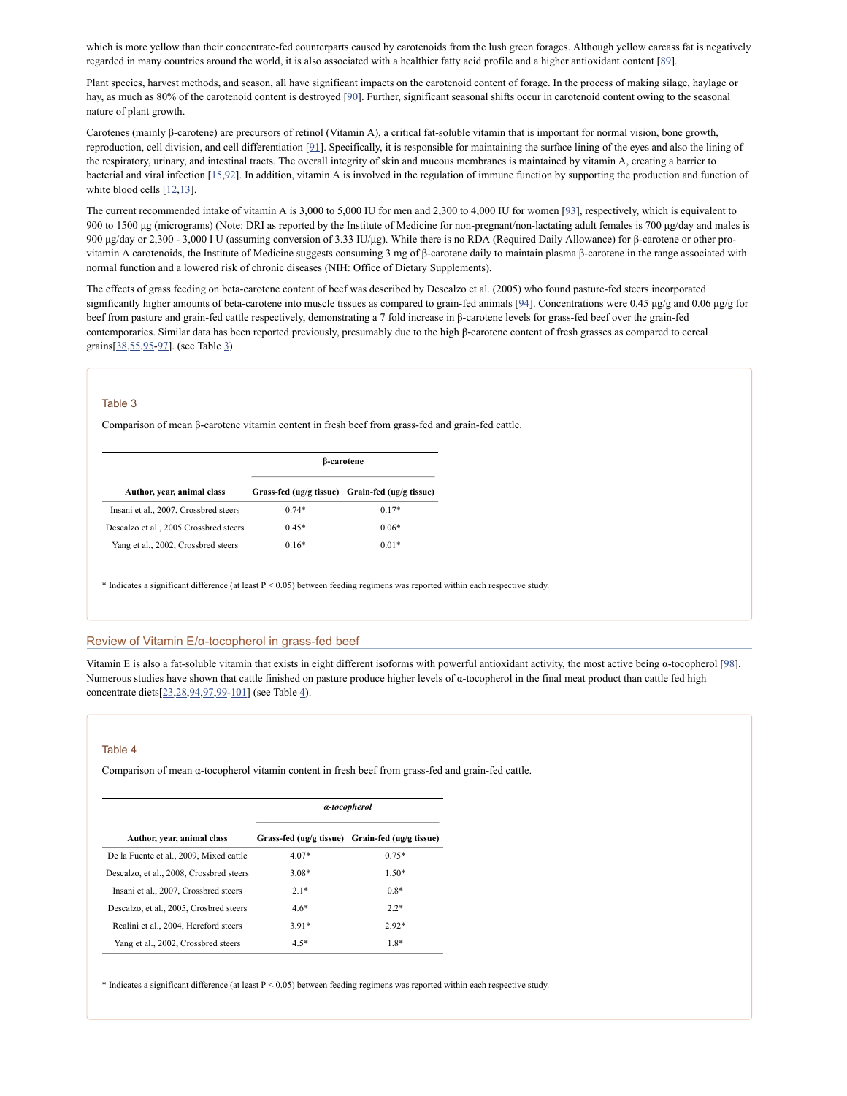which is more yellow than their concentrate-fed counterparts caused by carotenoids from the lush green forages. Although yellow carcass fat is negatively regarded in many countries around the world, it is also associated with a healthier fatty acid profile and a higher antioxidant content [\[89\]](#page-11-2).

Plant species, harvest methods, and season, all have significant impacts on the carotenoid content of forage. In the process of making silage, haylage or hay, as much as 80% of the carotenoid content is destroyed [\[90](#page-11-3)]. Further, significant seasonal shifts occur in carotenoid content owing to the seasonal nature of plant growth.

Carotenes (mainly β-carotene) are precursors of retinol (Vitamin A), a critical fat-soluble vitamin that is important for normal vision, bone growth, reproduction, cell division, and cell differentiation [[91\]](#page-11-4). Specifically, it is responsible for maintaining the surface lining of the eyes and also the lining of the respiratory, urinary, and intestinal tracts. The overall integrity of skin and mucous membranes is maintained by vitamin A, creating a barrier to bacterial and viral infection [\[15,](#page-8-11)[92](#page-11-5)]. In addition, vitamin A is involved in the regulation of immune function by supporting the production and function of white blood cells [\[12](#page-8-10)[,13\]](#page-8-20).

The current recommended intake of vitamin A is 3,000 to 5,000 IU for men and 2,300 to 4,000 IU for women [\[93](#page-11-6)], respectively, which is equivalent to 900 to 1500 μg (micrograms) (Note: DRI as reported by the Institute of Medicine for non-pregnant/non-lactating adult females is 700 μg/day and males is 900 μg/day or 2,300 - 3,000 I U (assuming conversion of 3.33 IU/μg). While there is no RDA (Required Daily Allowance) for β-carotene or other provitamin A carotenoids, the Institute of Medicine suggests consuming 3 mg of β-carotene daily to maintain plasma β-carotene in the range associated with normal function and a lowered risk of chronic diseases (NIH: Office of Dietary Supplements).

The effects of grass feeding on beta-carotene content of beef was described by Descalzo et al. (2005) who found pasture-fed steers incorporated significantly higher amounts of beta-carotene into muscle tissues as compared to grain-fed animals [\[94](#page-11-7)]. Concentrations were 0.45  $\mu$ g/g and 0.06  $\mu$ g/g for beef from pasture and grain-fed cattle respectively, demonstrating a 7 fold increase in β-carotene levels for grass-fed beef over the grain-fed contemporaries. Similar data has been reported previously, presumably due to the high β-carotene content of fresh grasses as compared to cereal grains[\[38](#page-9-11),[55,](#page-9-24)[95](#page-11-8)[-97\]](#page-11-9). (see Table [3\)](https://www.ncbi.nlm.nih.gov/pmc/articles/PMC2846864/table/T3/)

#### Table 3

Comparison of mean β-carotene vitamin content in fresh beef from grass-fed and grain-fed cattle.

|                                        | β-carotene |                                                 |  |  |  |  |
|----------------------------------------|------------|-------------------------------------------------|--|--|--|--|
| Author, year, animal class             |            | Grass-fed (ug/g tissue) Grain-fed (ug/g tissue) |  |  |  |  |
| Insani et al., 2007, Crossbred steers  | $0.74*$    | $0.17*$                                         |  |  |  |  |
| Descalzo et al., 2005 Crossbred steers | $0.45*$    | $0.06*$                                         |  |  |  |  |
| Yang et al., 2002, Crossbred steers    | $0.16*$    | $0.01*$                                         |  |  |  |  |

 $*$  Indicates a significant difference (at least  $P \le 0.05$ ) between feeding regimens was reported within each respective study.

### Review of Vitamin E/α-tocopherol in grass-fed beef

Vitamin E is also a fat-soluble vitamin that exists in eight different isoforms with powerful antioxidant activity, the most active being α-tocopherol [\[98\]](#page-11-10). Numerous studies have shown that cattle finished on pasture produce higher levels of α-tocopherol in the final meat product than cattle fed high concentrate diets[[23,](#page-8-21)[28](#page-9-25)[,94](#page-11-7),[97,](#page-11-9)[99-](#page-11-11)[101\]](#page-11-12) (see Table [4\)](https://www.ncbi.nlm.nih.gov/pmc/articles/PMC2846864/table/T4/).

#### Table 4

Comparison of mean α-tocopherol vitamin content in fresh beef from grass-fed and grain-fed cattle.

|                                          | a-tocopherol |                                                 |  |  |  |
|------------------------------------------|--------------|-------------------------------------------------|--|--|--|
| Author, year, animal class               |              | Grass-fed (ug/g tissue) Grain-fed (ug/g tissue) |  |  |  |
| De la Fuente et al., 2009, Mixed cattle  | $4.07*$      | $0.75*$                                         |  |  |  |
| Descalzo, et al., 2008, Crossbred steers | 3.08*        | $1.50*$                                         |  |  |  |
| Insani et al., 2007, Crossbred steers    | $2.1*$       | $0.8*$                                          |  |  |  |
| Descalzo, et al., 2005, Crosbred steers  | $4.6*$       | $2.2*$                                          |  |  |  |
| Realini et al., 2004, Hereford steers    | $3.91*$      | $2.92*$                                         |  |  |  |
| Yang et al., 2002, Crossbred steers      | $4.5*$       | $1.8*$                                          |  |  |  |

\* Indicates a significant difference (at least P < 0.05) between feeding regimens was reported within each respective study.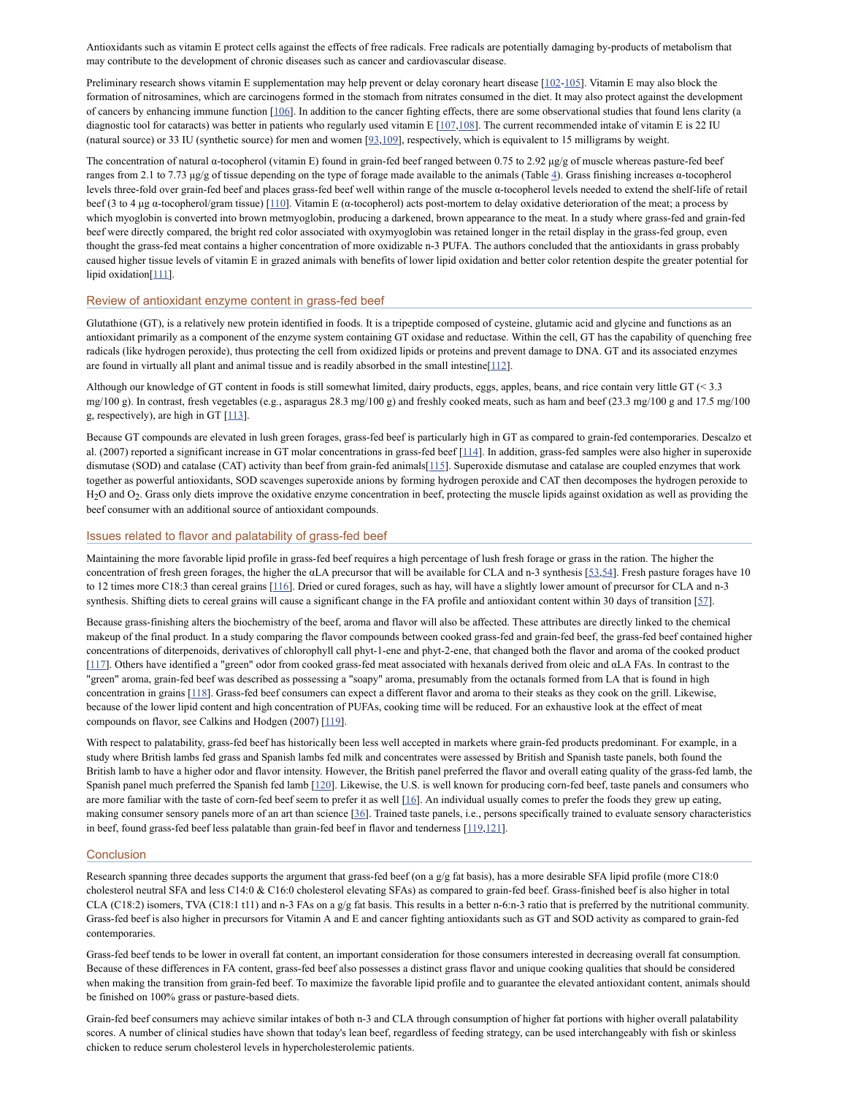Antioxidants such as vitamin E protect cells against the effects of free radicals. Free radicals are potentially damaging by-products of metabolism that may contribute to the development of chronic diseases such as cancer and cardiovascular disease.

Preliminary research shows vitamin E supplementation may help prevent or delay coronary heart disease [\[102](#page-11-13)[-105](#page-11-14)]. Vitamin E may also block the formation of nitrosamines, which are carcinogens formed in the stomach from nitrates consumed in the diet. It may also protect against the development of cancers by enhancing immune function [\[106\]](#page-11-15). In addition to the cancer fighting effects, there are some observational studies that found lens clarity (a diagnostic tool for cataracts) was better in patients who regularly used vitamin E [\[107](#page-11-16),[108\]](#page-11-17). The current recommended intake of vitamin E is 22 IU (natural source) or 33 IU (synthetic source) for men and women [[93](#page-11-6)[,109](#page-11-18)], respectively, which is equivalent to 15 milligrams by weight.

The concentration of natural α-tocopherol (vitamin E) found in grain-fed beef ranged between 0.75 to 2.92 μg/g of muscle whereas pasture-fed beef ranges from 2.1 to 7.73 μg/g of tissue depending on the type of forage made available to the animals (Table [4](https://www.ncbi.nlm.nih.gov/pmc/articles/PMC2846864/table/T4/)). Grass finishing increases α-tocopherol levels three-fold over grain-fed beef and places grass-fed beef well within range of the muscle α-tocopherol levels needed to extend the shelf-life of retail beef (3 to 4 μg α-tocopherol/gram tissue)  $[110]$ . Vitamin E (α-tocopherol) acts post-mortem to delay oxidative deterioration of the meat; a process by which myoglobin is converted into brown metmyoglobin, producing a darkened, brown appearance to the meat. In a study where grass-fed and grain-fed beef were directly compared, the bright red color associated with oxymyoglobin was retained longer in the retail display in the grass-fed group, even thought the grass-fed meat contains a higher concentration of more oxidizable n-3 PUFA. The authors concluded that the antioxidants in grass probably caused higher tissue levels of vitamin E in grazed animals with benefits of lower lipid oxidation and better color retention despite the greater potential for lipid oxidation<sup>[[111\]](#page-11-20)</sup>.

# Review of antioxidant enzyme content in grass-fed beef

Glutathione (GT), is a relatively new protein identified in foods. It is a tripeptide composed of cysteine, glutamic acid and glycine and functions as an antioxidant primarily as a component of the enzyme system containing GT oxidase and reductase. Within the cell, GT has the capability of quenching free radicals (like hydrogen peroxide), thus protecting the cell from oxidized lipids or proteins and prevent damage to DNA. GT and its associated enzymes are found in virtually all plant and animal tissue and is readily absorbed in the small intestine[\[112\]](#page-11-21).

Although our knowledge of GT content in foods is still somewhat limited, dairy products, eggs, apples, beans, and rice contain very little GT (< 3.3 mg/100 g). In contrast, fresh vegetables (e.g., asparagus 28.3 mg/100 g) and freshly cooked meats, such as ham and beef (23.3 mg/100 g and 17.5 mg/100 g, respectively), are high in GT [[113](#page-11-22)].

Because GT compounds are elevated in lush green forages, grass-fed beef is particularly high in GT as compared to grain-fed contemporaries. Descalzo et al. (2007) reported a significant increase in GT molar concentrations in grass-fed beef [[114\]](#page-11-23). In addition, grass-fed samples were also higher in superoxide dismutase (SOD) and catalase (CAT) activity than beef from grain-fed animals[[115](#page-11-24)]. Superoxide dismutase and catalase are coupled enzymes that work together as powerful antioxidants, SOD scavenges superoxide anions by forming hydrogen peroxide and CAT then decomposes the hydrogen peroxide to  $H_2O$  and  $O_2$ . Grass only diets improve the oxidative enzyme concentration in beef, protecting the muscle lipids against oxidation as well as providing the beef consumer with an additional source of antioxidant compounds.

#### Issues related to flavor and palatability of grass-fed beef

Maintaining the more favorable lipid profile in grass-fed beef requires a high percentage of lush fresh forage or grass in the ration. The higher the concentration of fresh green forages, the higher the αLA precursor that will be available for CLA and n-3 synthesis [\[53,](#page-9-21)[54\]](#page-9-22). Fresh pasture forages have 10 to 12 times more C18:3 than cereal grains [[116](#page-11-25)]. Dried or cured forages, such as hay, will have a slightly lower amount of precursor for CLA and n-3 synthesis. Shifting diets to cereal grains will cause a significant change in the FA profile and antioxidant content within 30 days of transition [\[57\]](#page-10-0).

Because grass-finishing alters the biochemistry of the beef, aroma and flavor will also be affected. These attributes are directly linked to the chemical makeup of the final product. In a study comparing the flavor compounds between cooked grass-fed and grain-fed beef, the grass-fed beef contained higher concentrations of diterpenoids, derivatives of chlorophyll call phyt-1-ene and phyt-2-ene, that changed both the flavor and aroma of the cooked product [\[117](#page-11-26)]. Others have identified a "green" odor from cooked grass-fed meat associated with hexanals derived from oleic and αLA FAs. In contrast to the "green" aroma, grain-fed beef was described as possessing a "soapy" aroma, presumably from the octanals formed from LA that is found in high concentration in grains [[118\]](#page-12-0). Grass-fed beef consumers can expect a different flavor and aroma to their steaks as they cook on the grill. Likewise, because of the lower lipid content and high concentration of PUFAs, cooking time will be reduced. For an exhaustive look at the effect of meat compounds on flavor, see Calkins and Hodgen (2007) [\[119\]](#page-12-1).

With respect to palatability, grass-fed beef has historically been less well accepted in markets where grain-fed products predominant. For example, in a study where British lambs fed grass and Spanish lambs fed milk and concentrates were assessed by British and Spanish taste panels, both found the British lamb to have a higher odor and flavor intensity. However, the British panel preferred the flavor and overall eating quality of the grass-fed lamb, the Spanish panel much preferred the Spanish fed lamb  $[120]$ . Likewise, the U.S. is well known for producing corn-fed beef, taste panels and consumers who are more familiar with the taste of corn-fed beef seem to prefer it as well  $[16]$  $[16]$ . An individual usually comes to prefer the foods they grew up eating, making consumer sensory panels more of an art than science [[36\]](#page-9-9). Trained taste panels, i.e., persons specifically trained to evaluate sensory characteristics in beef, found grass-fed beef less palatable than grain-fed beef in flavor and tenderness [\[119](#page-12-1)[,121](#page-12-3)].

### **Conclusion**

Research spanning three decades supports the argument that grass-fed beef (on a g/g fat basis), has a more desirable SFA lipid profile (more C18:0 cholesterol neutral SFA and less C14:0 & C16:0 cholesterol elevating SFAs) as compared to grain-fed beef. Grass-finished beef is also higher in total CLA (C18:2) isomers, TVA (C18:1 t11) and n-3 FAs on a g/g fat basis. This results in a better n-6:n-3 ratio that is preferred by the nutritional community. Grass-fed beef is also higher in precursors for Vitamin A and E and cancer fighting antioxidants such as GT and SOD activity as compared to grain-fed contemporaries.

Grass-fed beef tends to be lower in overall fat content, an important consideration for those consumers interested in decreasing overall fat consumption. Because of these differences in FA content, grass-fed beef also possesses a distinct grass flavor and unique cooking qualities that should be considered when making the transition from grain-fed beef. To maximize the favorable lipid profile and to guarantee the elevated antioxidant content, animals should be finished on 100% grass or pasture-based diets.

Grain-fed beef consumers may achieve similar intakes of both n-3 and CLA through consumption of higher fat portions with higher overall palatability scores. A number of clinical studies have shown that today's lean beef, regardless of feeding strategy, can be used interchangeably with fish or skinless chicken to reduce serum cholesterol levels in hypercholesterolemic patients.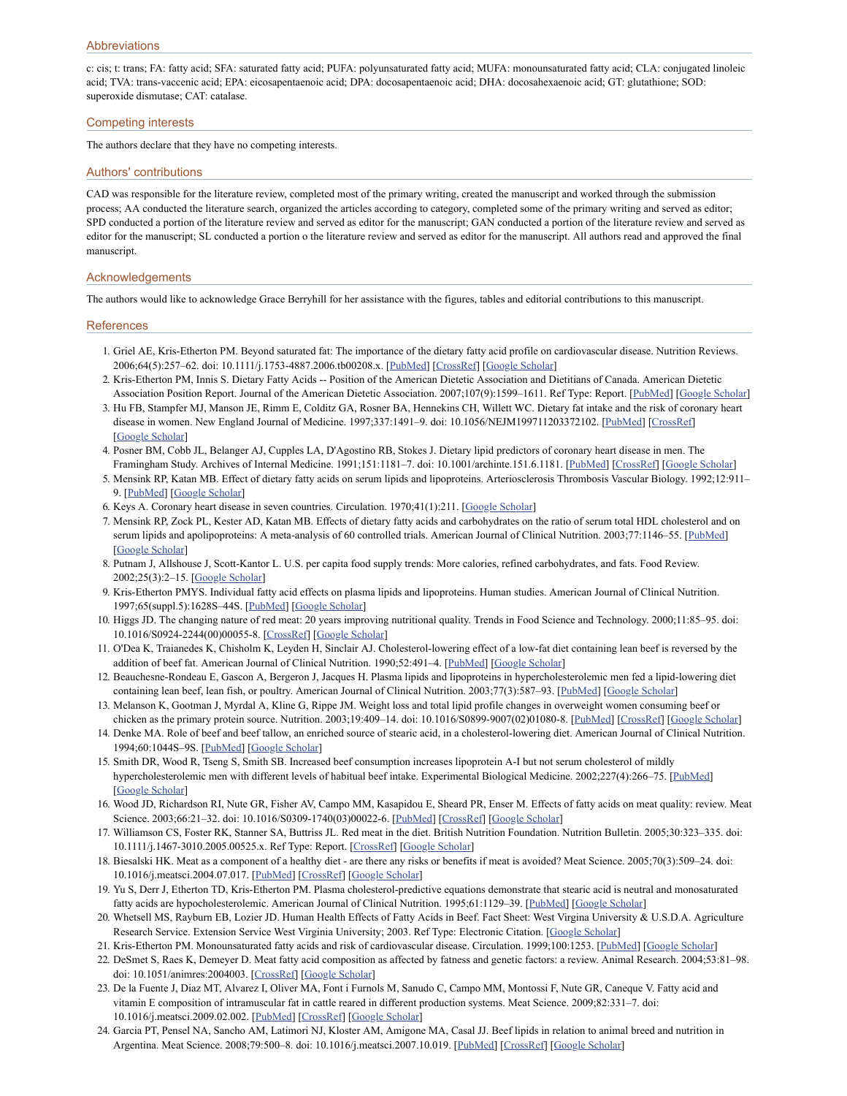c: cis; t: trans; FA: fatty acid; SFA: saturated fatty acid; PUFA: polyunsaturated fatty acid; MUFA: monounsaturated fatty acid; CLA: conjugated linoleic acid; TVA: trans-vaccenic acid; EPA: eicosapentaenoic acid; DPA: docosapentaenoic acid; DHA: docosahexaenoic acid; GT: glutathione; SOD: superoxide dismutase; CAT: catalase.

### Competing interests

The authors declare that they have no competing interests.

#### Authors' contributions

CAD was responsible for the literature review, completed most of the primary writing, created the manuscript and worked through the submission process; AA conducted the literature search, organized the articles according to category, completed some of the primary writing and served as editor; SPD conducted a portion of the literature review and served as editor for the manuscript; GAN conducted a portion of the literature review and served as editor for the manuscript; SL conducted a portion o the literature review and served as editor for the manuscript. All authors read and approved the final manuscript.

#### Acknowledgements

The authors would like to acknowledge Grace Berryhill for her assistance with the figures, tables and editorial contributions to this manuscript.

#### **References**

- <span id="page-8-0"></span>1. Griel AE, Kris-Etherton PM. Beyond saturated fat: The importance of the dietary fatty acid profile on cardiovascular disease. Nutrition Reviews. 2006;64(5):257–62. doi: 10.1111/j.1753-4887.2006.tb00208.x. [\[PubMed\]](https://www.ncbi.nlm.nih.gov/pubmed/16770946) [[CrossRef\]](https://dx.doi.org/10.1111%2Fj.1753-4887.2006.tb00208.x) [Google [Scholar\]](https://scholar.google.com/scholar_lookup?journal=Nutrition+Reviews&title=Beyond+saturated+fat:+The+importance+of+the+dietary+fatty+acid+profile+on+cardiovascular+disease&author=AE+Griel&author=PM+Kris-Etherton&volume=64&issue=5&publication_year=2006&pages=257-62&pmid=16770946&doi=10.1111/j.1753-4887.2006.tb00208.x&)
- <span id="page-8-1"></span>2. Kris-Etherton PM, Innis S. Dietary Fatty Acids -- Position of the American Dietetic Association and Dietitians of Canada. American Dietetic Association Position Report. Journal of the American Dietetic Association. 2007;107(9):1599-1611. Ref Type: Report. [\[PubMed\]](https://www.ncbi.nlm.nih.gov/pubmed/17936958) [Google Sch
- <span id="page-8-2"></span>3. Hu FB, Stampfer MJ, Manson JE, Rimm E, Colditz GA, Rosner BA, Hennekins CH, Willett WC. Dietary fat intake and the risk of coronary heart disease in women. New England Journal of Medicine. 1997;337:1491–9. doi: 10.1056/NEJM199711203372102. [\[PubMed\]](https://www.ncbi.nlm.nih.gov/pubmed/9366580) [[CrossRef\]](https://dx.doi.org/10.1056%2FNEJM199711203372102) [Google [Scholar](https://scholar.google.com/scholar_lookup?journal=New+England+Journal+of+Medicine&title=Dietary+fat+intake+and+the+risk+of+coronary+heart+disease+in+women&author=FB+Hu&author=MJ+Stampfer&author=JE+Manson&author=E+Rimm&author=GA+Colditz&volume=337&publication_year=1997&pages=1491-9&pmid=9366580&doi=10.1056/NEJM199711203372102&)]
- <span id="page-8-3"></span>4. Posner BM, Cobb JL, Belanger AJ, Cupples LA, D'Agostino RB, Stokes J. Dietary lipid predictors of coronary heart disease in men. The Framingham Study. Archives of Internal Medicine. 1991;151:1181-7. doi: 10.1001/archinte.151.6.1181. [\[PubMed\]](https://www.ncbi.nlm.nih.gov/pubmed/2043019) [[CrossRef\]](https://dx.doi.org/10.1001%2Farchinte.151.6.1181) [Google [Scholar](https://scholar.google.com/scholar_lookup?journal=The+Framingham+Study.+Archives+of+Internal+Medicine&title=Dietary+lipid+predictors+of+coronary+heart+disease+in+men&author=BM+Posner&author=JL+Cobb&author=AJ+Belanger&author=LA+Cupples&author=RB+D%27Agostino&volume=151&publication_year=1991&pages=1181-7&doi=10.1001/archinte.151.6.1181&)]
- <span id="page-8-4"></span>5. Mensink RP, Katan MB. Effect of dietary fatty acids on serum lipids and lipoproteins. Arteriosclerosis Thrombosis Vascular Biology. 1992;12:911– 9. [\[PubMed\]](https://www.ncbi.nlm.nih.gov/pubmed/1386252) [Google [Scholar\]](https://scholar.google.com/scholar_lookup?journal=Arteriosclerosis+Thrombosis+Vascular+Biology&title=Effect+of+dietary+fatty+acids+on+serum+lipids+and+lipoproteins&author=RP+Mensink&author=MB+Katan&volume=12&publication_year=1992&pages=911-9&)
- 6. Keys A. Coronary heart disease in seven countries. Circulation. 1970;41(1):211. [Google [Scholar\]](https://scholar.google.com/scholar_lookup?journal=Circulation&title=Coronary+heart+disease+in+seven+countries&author=A+Keys&volume=41&issue=1&publication_year=1970&pages=211&)
- <span id="page-8-5"></span>7. Mensink RP, Zock PL, Kester AD, Katan MB. Effects of dietary fatty acids and carbohydrates on the ratio of serum total HDL cholesterol and on serum lipids and apolipoproteins: A meta-analysis of 60 controlled trials. American Journal of Clinical Nutrition. 2003;77:1146–55. [\[PubMed\]](https://www.ncbi.nlm.nih.gov/pubmed/12716665) [Google [Scholar](https://scholar.google.com/scholar_lookup?journal=American+Journal+of+Clinical+Nutrition&title=Effects+of+dietary+fatty+acids+and+carbohydrates+on+the+ratio+of+serum+total+HDL+cholesterol+and+on+serum+lipids+and+apolipoproteins:+A+meta-analysis+of+60+controlled+trials&author=RP+Mensink&author=PL+Zock&author=AD+Kester&author=MB+Katan&volume=77&publication_year=2003&pages=1146-55&pmid=12716665&)]
- <span id="page-8-6"></span>8. Putnam J, Allshouse J, Scott-Kantor L. U.S. per capita food supply trends: More calories, refined carbohydrates, and fats. Food Review. 2002;25(3):2–15. [Google [Scholar](https://scholar.google.com/scholar_lookup?journal=Food+Review&title=U.S.+per+capita+food+supply+trends:+More+calories,+refined+carbohydrates,+and+fats&author=J+Putnam&author=J+Allshouse&author=L+Scott-Kantor&volume=25&issue=3&publication_year=2002&pages=2-15&)]
- <span id="page-8-7"></span>9. Kris-Etherton PMYS. Individual fatty acid effects on plasma lipids and lipoproteins. Human studies. American Journal of Clinical Nutrition. 1997;65(suppl.5):1628S–44S. [\[PubMed\]](https://www.ncbi.nlm.nih.gov/pubmed/9129503) [Google [Scholar\]](https://scholar.google.com/scholar_lookup?journal=American+Journal+of+Clinical+Nutrition&title=Individual+fatty+acid+effects+on+plasma+lipids+and+lipoproteins.+Human+studies&author=PMYS+Kris-Etherton&volume=65&issue=suppl.5&publication_year=1997&pages=1628S-44S&pmid=9129503&)
- <span id="page-8-8"></span>10. Higgs JD. The changing nature of red meat: 20 years improving nutritional quality. Trends in Food Science and Technology. 2000;11:85–95. doi: 10.1016/S0924-2244(00)00055-8. [\[CrossRef](https://dx.doi.org/10.1016%2FS0924-2244(00)00055-8)] [Google [Scholar](https://scholar.google.com/scholar_lookup?journal=Trends+in+Food+Science+and+Technology&title=The+changing+nature+of+red+meat:+20+years+improving+nutritional+quality&author=JD+Higgs&volume=11&publication_year=2000&pages=85-95&doi=10.1016/S0924-2244(00)00055-8&)]
- <span id="page-8-9"></span>11. O'Dea K, Traianedes K, Chisholm K, Leyden H, Sinclair AJ. Cholesterol-lowering effect of a low-fat diet containing lean beef is reversed by the addition of beef fat. American Journal of Clinical Nutrition. 1990;52:491-4. [[PubMed\]](https://www.ncbi.nlm.nih.gov/pubmed/2393010) [Google [Scholar\]](https://scholar.google.com/scholar_lookup?journal=American+Journal+of+Clinical+Nutrition&title=Cholesterol-lowering+effect+of+a+low-fat+diet+containing+lean+beef+is+reversed+by+the+addition+of+beef+fat&author=K+O%27Dea&author=K+Traianedes&author=K+Chisholm&author=H+Leyden&author=AJ+Sinclair&volume=52&publication_year=1990&pages=491-4&pmid=2393010&)
- <span id="page-8-10"></span>12. Beauchesne-Rondeau E, Gascon A, Bergeron J, Jacques H. Plasma lipids and lipoproteins in hypercholesterolemic men fed a lipid-lowering diet containing lean beef, lean fish, or poultry. American Journal of Clinical Nutrition. 2003;77(3):587–93. [\[PubMed](https://www.ncbi.nlm.nih.gov/pubmed/12600847)] [Google [Scholar](https://scholar.google.com/scholar_lookup?journal=American+Journal+of+Clinical+Nutrition&title=Plasma+lipids+and+lipoproteins+in+hypercholesterolemic+men+fed+a+lipid-lowering+diet+containing+lean+beef,+lean+fish,+or+poultry&author=E+Beauchesne-Rondeau&author=A+Gascon&author=J+Bergeron&author=H+Jacques&volume=77&issue=3&publication_year=2003&pages=587-93&pmid=12600847&)]
- <span id="page-8-20"></span>13. Melanson K, Gootman J, Myrdal A, Kline G, Rippe JM. Weight loss and total lipid profile changes in overweight women consuming beef or chicken as the primary protein source. Nutrition. 2003;19:409-14. doi: 10.1016/S0899-9007(02)01080-8. [[PubMed](https://www.ncbi.nlm.nih.gov/pubmed/12714091)] [\[CrossRef](https://dx.doi.org/10.1016%2FS0899-9007(02)01080-8)] [Google [Scholar](https://scholar.google.com/scholar_lookup?journal=Nutrition&title=Weight+loss+and+total+lipid+profile+changes+in+overweight+women+consuming+beef+or+chicken+as+the+primary+protein+source&author=K+Melanson&author=J+Gootman&author=A+Myrdal&author=G+Kline&author=JM+Rippe&volume=19&publication_year=2003&pages=409-14&pmid=12714091&doi=10.1016/S0899-9007(02)01080-8&)]
- 14. Denke MA. Role of beef and beef tallow, an enriched source of stearic acid, in a cholesterol-lowering diet. American Journal of Clinical Nutrition. 1994;60:1044S–9S. [[PubMed\]](https://www.ncbi.nlm.nih.gov/pubmed/7977148) [Google [Scholar](https://scholar.google.com/scholar_lookup?journal=American+Journal+of+Clinical+Nutrition&title=Role+of+beef+and+beef+tallow,+an+enriched+source+of+stearic+acid,+in+a+cholesterol-lowering+diet&author=MA+Denke&volume=60&publication_year=1994&pages=1044S-9S&pmid=7977148&)]
- <span id="page-8-11"></span>15. Smith DR, Wood R, Tseng S, Smith SB. Increased beef consumption increases lipoprotein A-I but not serum cholesterol of mildly hypercholesterolemic men with different levels of habitual beef intake. Experimental Biological Medicine. 2002;227(4):266–75. [[PubMed\]](https://www.ncbi.nlm.nih.gov/pubmed/11910049) [Google [Scholar](https://scholar.google.com/scholar_lookup?journal=Experimental+Biological+Medicine&title=Increased+beef+consumption+increases+lipoprotein+A-I+but+not+serum+cholesterol+of+mildly+hypercholesterolemic+men+with+different+levels+of+habitual+beef+intake&author=DR+Smith&author=R+Wood&author=S+Tseng&author=SB+Smith&volume=227&issue=4&publication_year=2002&pages=266-75&)]
- <span id="page-8-12"></span>16. Wood JD, Richardson RI, Nute GR, Fisher AV, Campo MM, Kasapidou E, Sheard PR, Enser M. Effects of fatty acids on meat quality: review. Meat Science. 2003;66:21–32. doi: 10.1016/S0309-1740(03)00022-6. [[PubMed\]](https://www.ncbi.nlm.nih.gov/pubmed/22063928) [\[CrossRef](https://dx.doi.org/10.1016%2FS0309-1740(03)00022-6)] [Google [Scholar](https://scholar.google.com/scholar_lookup?journal=Meat+Science&title=Effects+of+fatty+acids+on+meat+quality:+review&author=JD+Wood&author=RI+Richardson&author=GR+Nute&author=AV+Fisher&author=MM+Campo&volume=66&publication_year=2003&pages=21-32&doi=10.1016/S0309-1740(03)00022-6&)]
- <span id="page-8-13"></span>17. Williamson CS, Foster RK, Stanner SA, Buttriss JL. Red meat in the diet. British Nutrition Foundation. Nutrition Bulletin. 2005;30:323–335. doi: 10.1111/j.1467-3010.2005.00525.x. Ref Type: Report. [[CrossRef\]](https://dx.doi.org/10.1111%2Fj.1467-3010.2005.00525.x) [Google [Scholar\]](https://scholar.google.com/scholar_lookup?journal=Nutrition+Bulletin&title=Red+meat+in+the+diet.+British+Nutrition+Foundation&author=CS+Williamson&author=RK+Foster&author=SA+Stanner&author=JL+Buttriss&volume=30&publication_year=2005&pages=323-335&doi=10.1111/j.1467-3010.2005.00525.x&)
- <span id="page-8-14"></span>18. Biesalski HK. Meat as a component of a healthy diet - are there any risks or benefits if meat is avoided? Meat Science. 2005;70(3):509–24. doi: 10.1016/j.meatsci.2004.07.017. [[PubMed](https://www.ncbi.nlm.nih.gov/pubmed/22063749)] [[CrossRef\]](https://dx.doi.org/10.1016%2Fj.meatsci.2004.07.017) [Google [Scholar\]](https://scholar.google.com/scholar_lookup?journal=Meat+Science&title=Meat+as+a+component+of+a+healthy+diet+-+are+there+any+risks+or+benefits+if+meat+is+avoided?&author=HK+Biesalski&volume=70&issue=3&publication_year=2005&pages=509-24&doi=10.1016/j.meatsci.2004.07.017&)
- <span id="page-8-15"></span>19. Yu S, Derr J, Etherton TD, Kris-Etherton PM. Plasma cholesterol-predictive equations demonstrate that stearic acid is neutral and monosaturated fatty acids are hypocholesterolemic. American Journal of Clinical Nutrition. 1995;61:1129-39. [\[PubMed](https://www.ncbi.nlm.nih.gov/pubmed/7733039)] [Google [Scholar\]](https://scholar.google.com/scholar_lookup?journal=American+Journal+of+Clinical+Nutrition&title=Plasma+cholesterol-predictive+equations+demonstrate+that+stearic+acid+is+neutral+and+monosaturated+fatty+acids+are+hypocholesterolemic&author=S+Yu&author=J+Derr&author=TD+Etherton&author=PM+Kris-Etherton&volume=61&publication_year=1995&pages=1129-39&pmid=7733039&)
- <span id="page-8-16"></span>20. Whetsell MS, Rayburn EB, Lozier JD. Human Health Effects of Fatty Acids in Beef. Fact Sheet: West Virgina University & U.S.D.A. Agriculture Research Service. Extension Service West Virginia University; 2003. Ref Type: Electronic Citation. [Google [Scholar\]](https://scholar.google.com/scholar_lookup?title=Human+Health+Effects+of+Fatty+Acids+in+Beef&author=MS+Whetsell&author=EB+Rayburn&author=JD+Lozier&publication_year=2003&)
- <span id="page-8-17"></span>21. Kris-Etherton PM. Monounsaturated fatty acids and risk of cardiovascular disease. Circulation. 1999;100:1253. [[PubMed](https://www.ncbi.nlm.nih.gov/pubmed/10484550)] [Google [Scholar\]](https://scholar.google.com/scholar_lookup?journal=Circulation&title=Monounsaturated+fatty+acids+and+risk+of+cardiovascular+disease&author=PM+Kris-Etherton&volume=100&publication_year=1999&pages=1253&pmid=10484550&)
- <span id="page-8-18"></span>22. DeSmet S, Raes K, Demeyer D. Meat fatty acid composition as affected by fatness and genetic factors: a review. Animal Research. 2004;53:81–98. doi: 10.1051/animres:2004003. [\[CrossRef](https://dx.doi.org/10.1051%2Fanimres%3A2004003)] [Google [Scholar](https://scholar.google.com/scholar_lookup?journal=Animal+Research&title=Meat+fatty+acid+composition+as+affected+by+fatness+and+genetic+factors:+a+review&author=S+DeSmet&author=K+Raes&author=D+Demeyer&volume=53&publication_year=2004&pages=81-98&doi=10.1051/animres:2004003&)]
- <span id="page-8-21"></span>23. De la Fuente J, Diaz MT, Alvarez I, Oliver MA, Font i Furnols M, Sanudo C, Campo MM, Montossi F, Nute GR, Caneque V. Fatty acid and vitamin E composition of intramuscular fat in cattle reared in different production systems. Meat Science. 2009;82:331–7. doi: 10.1016/j.meatsci.2009.02.002. [[PubMed](https://www.ncbi.nlm.nih.gov/pubmed/20416720)] [[CrossRef\]](https://dx.doi.org/10.1016%2Fj.meatsci.2009.02.002) [Google [Scholar\]](https://scholar.google.com/scholar_lookup?journal=Meat+Science&title=Fatty+acid+and+vitamin+E+composition+of+intramuscular+fat+in+cattle+reared+in+different+production+systems&author=J+De+la+Fuente&author=MT+Diaz&author=I+Alvarez&author=MA+Oliver&author=M+Font+i+Furnols&volume=82&publication_year=2009&pages=331-7&doi=10.1016/j.meatsci.2009.02.002&)
- <span id="page-8-19"></span>24. Garcia PT, Pensel NA, Sancho AM, Latimori NJ, Kloster AM, Amigone MA, Casal JJ. Beef lipids in relation to animal breed and nutrition in Argentina. Meat Science. 2008;79:500–8. doi: 10.1016/j.meatsci.2007.10.019. [\[PubMed\]](https://www.ncbi.nlm.nih.gov/pubmed/22062910) [[CrossRef\]](https://dx.doi.org/10.1016%2Fj.meatsci.2007.10.019) [Google [Scholar](https://scholar.google.com/scholar_lookup?journal=Meat+Science&title=Beef+lipids+in+relation+to+animal+breed+and+nutrition+in+Argentina&author=PT+Garcia&author=NA+Pensel&author=AM+Sancho&author=NJ+Latimori&author=AM+Kloster&volume=79&publication_year=2008&pages=500-8&doi=10.1016/j.meatsci.2007.10.019&)]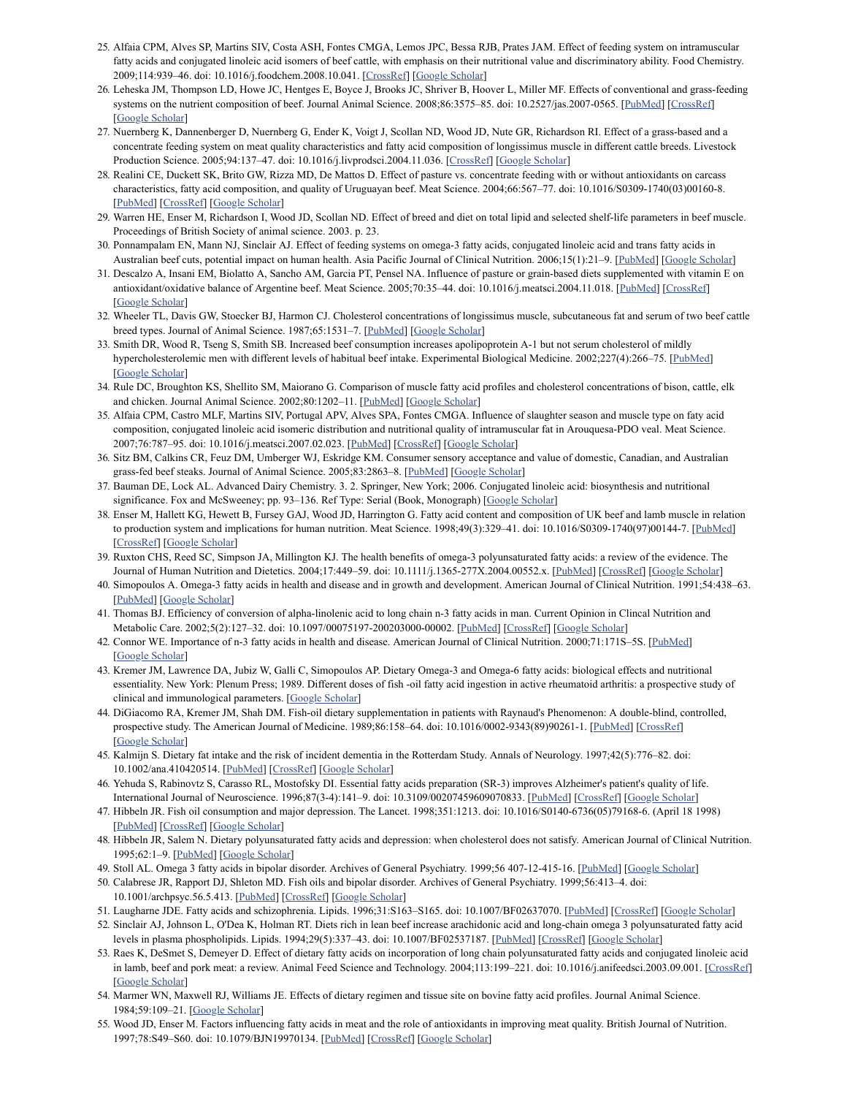- <span id="page-9-0"></span>25. Alfaia CPM, Alves SP, Martins SIV, Costa ASH, Fontes CMGA, Lemos JPC, Bessa RJB, Prates JAM. Effect of feeding system on intramuscular fatty acids and conjugated linoleic acid isomers of beef cattle, with emphasis on their nutritional value and discriminatory ability. Food Chemistry. 2009;114:939–46. doi: 10.1016/j.foodchem.2008.10.041. [\[CrossRef](https://dx.doi.org/10.1016%2Fj.foodchem.2008.10.041)] [Google [Scholar\]](https://scholar.google.com/scholar_lookup?journal=Food+Chemistry&title=Effect+of+feeding+system+on+intramuscular+fatty+acids+and+conjugated+linoleic+acid+isomers+of+beef+cattle,+with+emphasis+on+their+nutritional+value+and+discriminatory+ability&author=CPM+Alfaia&author=SP+Alves&author=SIV+Martins&author=ASH+Costa&author=CMGA+Fontes&volume=114&publication_year=2009&pages=939-46&doi=10.1016/j.foodchem.2008.10.041&)
- <span id="page-9-8"></span>26. Leheska JM, Thompson LD, Howe JC, Hentges E, Boyce J, Brooks JC, Shriver B, Hoover L, Miller MF. Effects of conventional and grass-feeding systems on the nutrient composition of beef. Journal Animal Science. 2008;86:3575-85. doi: 10.2527/jas.2007-0565. [\[PubMed\]](https://www.ncbi.nlm.nih.gov/pubmed/18641180) [[CrossRef\]](https://dx.doi.org/10.2527%2Fjas.2007-0565) [Google [Scholar](https://scholar.google.com/scholar_lookup?journal=Journal+Animal+Science&title=Effects+of+conventional+and+grass-feeding+systems+on+the+nutrient+composition+of+beef&author=JM+Leheska&author=LD+Thompson&author=JC+Howe&author=E+Hentges&author=J+Boyce&volume=86&publication_year=2008&pages=3575-85&doi=10.2527/jas.2007-0565&)]
- <span id="page-9-6"></span>27. Nuernberg K, Dannenberger D, Nuernberg G, Ender K, Voigt J, Scollan ND, Wood JD, Nute GR, Richardson RI. Effect of a grass-based and a concentrate feeding system on meat quality characteristics and fatty acid composition of longissimus muscle in different cattle breeds. Livestock Production Science. 2005;94:137–47. doi: 10.1016/j.livprodsci.2004.11.036. [[CrossRef](https://dx.doi.org/10.1016%2Fj.livprodsci.2004.11.036)] [Google [Scholar](https://scholar.google.com/scholar_lookup?journal=Livestock+Production+Science&title=Effect+of+a+grass-based+and+a+concentrate+feeding+system+on+meat+quality+characteristics+and+fatty+acid+composition+of+longissimus+muscle+in+different+cattle+breeds&author=K+Nuernberg&author=D+Dannenberger&author=G+Nuernberg&author=K+Ender&author=J+Voigt&volume=94&publication_year=2005&pages=137-47&doi=10.1016/j.livprodsci.2004.11.036&)]
- <span id="page-9-25"></span>28. Realini CE, Duckett SK, Brito GW, Rizza MD, De Mattos D. Effect of pasture vs. concentrate feeding with or without antioxidants on carcass characteristics, fatty acid composition, and quality of Uruguayan beef. Meat Science. 2004;66:567–77. doi: 10.1016/S0309-1740(03)00160-8. [[PubMed](https://www.ncbi.nlm.nih.gov/pubmed/22060866)] [\[CrossRef](https://dx.doi.org/10.1016%2FS0309-1740(03)00160-8)] [Google [Scholar](https://scholar.google.com/scholar_lookup?journal=Meat+Science&title=Effect+of+pasture+vs.+concentrate+feeding+with+or+without+antioxidants+on+carcass+characteristics,+fatty+acid+composition,+and+quality+of+Uruguayan+beef&author=CE+Realini&author=SK+Duckett&author=GW+Brito&author=MD+Rizza&author=D+De+Mattos&volume=66&publication_year=2004&pages=567-77&doi=10.1016/S0309-1740(03)00160-8&)]
- 29. Warren HE, Enser M, Richardson I, Wood JD, Scollan ND. Effect of breed and diet on total lipid and selected shelf-life parameters in beef muscle. Proceedings of British Society of animal science. 2003. p. 23.
- <span id="page-9-7"></span>30. Ponnampalam EN, Mann NJ, Sinclair AJ. Effect of feeding systems on omega-3 fatty acids, conjugated linoleic acid and trans fatty acids in Australian beef cuts, potential impact on human health. Asia Pacific Journal of Clinical Nutrition. 2006;15(1):21–9. [[PubMed](https://www.ncbi.nlm.nih.gov/pubmed/16500874)] [Google [Scholar](https://scholar.google.com/scholar_lookup?journal=Asia+Pacific+Journal+of+Clinical+Nutrition&title=Effect+of+feeding+systems+on+omega-3+fatty+acids,+conjugated+linoleic+acid+and+trans+fatty+acids+in+Australian+beef+cuts,+potential+impact+on+human+health&author=EN+Ponnampalam&author=NJ+Mann&author=AJ+Sinclair&volume=15&issue=1&publication_year=2006&pages=21-9&pmid=16500874&)]
- <span id="page-9-1"></span>31. Descalzo A, Insani EM, Biolatto A, Sancho AM, Garcia PT, Pensel NA. Influence of pasture or grain-based diets supplemented with vitamin E on antioxidant/oxidative balance of Argentine beef. Meat Science. 2005;70:35–44. doi: 10.1016/j.meatsci.2004.11.018. [[PubMed](https://www.ncbi.nlm.nih.gov/pubmed/22063278)] [\[CrossRef](https://dx.doi.org/10.1016%2Fj.meatsci.2004.11.018)] [Google [Scholar](https://scholar.google.com/scholar_lookup?journal=Meat+Science&title=Influence+of+pasture+or+grain-based+diets+supplemented+with+vitamin+E+on+antioxidant/oxidative+balance+of+Argentine+beef&author=A+Descalzo&author=EM+Insani&author=A+Biolatto&author=AM+Sancho&author=PT+Garcia&volume=70&publication_year=2005&pages=35-44&doi=10.1016/j.meatsci.2004.11.018&)]
- <span id="page-9-2"></span>32. Wheeler TL, Davis GW, Stoecker BJ, Harmon CJ. Cholesterol concentrations of longissimus muscle, subcutaneous fat and serum of two beef cattle breed types. Journal of Animal Science. 1987;65:1531-7. [\[PubMed](https://www.ncbi.nlm.nih.gov/pubmed/3443573)] [Google [Scholar](https://scholar.google.com/scholar_lookup?journal=Journal+of+Animal+Science&title=Cholesterol+concentrations+of+longissimus+muscle,+subcutaneous+fat+and+serum+of+two+beef+cattle+breed+types&author=TL+Wheeler&author=GW+Davis&author=BJ+Stoecker&author=CJ+Harmon&volume=65&publication_year=1987&pages=1531-7&pmid=3443573&)]
- <span id="page-9-3"></span>33. Smith DR, Wood R, Tseng S, Smith SB. Increased beef consumption increases apolipoprotein A-1 but not serum cholesterol of mildly hypercholesterolemic men with different levels of habitual beef intake. Experimental Biological Medicine. 2002;227(4):266–75. [[PubMed\]](https://www.ncbi.nlm.nih.gov/pubmed/11910049) [Google [Scholar](https://scholar.google.com/scholar_lookup?journal=Experimental+Biological+Medicine&title=Increased+beef+consumption+increases+apolipoprotein+A-1+but+not+serum+cholesterol+of+mildly+hypercholesterolemic+men+with+different+levels+of+habitual+beef+intake&author=DR+Smith&author=R+Wood&author=S+Tseng&author=SB+Smith&volume=227&issue=4&publication_year=2002&pages=266-75&)]
- <span id="page-9-4"></span>34. Rule DC, Broughton KS, Shellito SM, Maiorano G. Comparison of muscle fatty acid profiles and cholesterol concentrations of bison, cattle, elk and chicken. Journal Animal Science. 2002;80:1202-11. [\[PubMed](https://www.ncbi.nlm.nih.gov/pubmed/12019607)] [Google [Scholar\]](https://scholar.google.com/scholar_lookup?journal=Journal+Animal+Science&title=Comparison+of+muscle+fatty+acid+profiles+and+cholesterol+concentrations+of+bison,+cattle,+elk+and+chicken&author=DC+Rule&author=KS+Broughton&author=SM+Shellito&author=G+Maiorano&volume=80&publication_year=2002&pages=1202-11&)
- <span id="page-9-5"></span>35. Alfaia CPM, Castro MLF, Martins SIV, Portugal APV, Alves SPA, Fontes CMGA. Influence of slaughter season and muscle type on faty acid composition, conjugated linoleic acid isomeric distribution and nutritional quality of intramuscular fat in Arouquesa-PDO veal. Meat Science. 2007;76:787–95. doi: 10.1016/j.meatsci.2007.02.023. [\[PubMed\]](https://www.ncbi.nlm.nih.gov/pubmed/22061259) [[CrossRef\]](https://dx.doi.org/10.1016%2Fj.meatsci.2007.02.023) [Google [Scholar](https://scholar.google.com/scholar_lookup?journal=Meat+Science&title=Influence+of+slaughter+season+and+muscle+type+on+faty+acid+composition,+conjugated+linoleic+acid+isomeric+distribution+and+nutritional+quality+of+intramuscular+fat+in+Arouquesa-PDO+veal&author=CPM+Alfaia&author=MLF+Castro&author=SIV+Martins&author=APV+Portugal&author=SPA+Alves&volume=76&publication_year=2007&pages=787-95&doi=10.1016/j.meatsci.2007.02.023&)]
- <span id="page-9-9"></span>36. Sitz BM, Calkins CR, Feuz DM, Umberger WJ, Eskridge KM. Consumer sensory acceptance and value of domestic, Canadian, and Australian grass-fed beef steaks. Journal of Animal Science. 2005;83:2863–8. [\[PubMed\]](https://www.ncbi.nlm.nih.gov/pubmed/16282625) [Google [Scholar\]](https://scholar.google.com/scholar_lookup?journal=Journal+of+Animal+Science&title=Consumer+sensory+acceptance+and+value+of+domestic,+Canadian,+and+Australian+grass-fed+beef+steaks&author=BM+Sitz&author=CR+Calkins&author=DM+Feuz&author=WJ+Umberger&author=KM+Eskridge&volume=83&publication_year=2005&pages=2863-8&pmid=16282625&)
- <span id="page-9-10"></span>37. Bauman DE, Lock AL. Advanced Dairy Chemistry. 3. 2. Springer, New York; 2006. Conjugated linoleic acid: biosynthesis and nutritional significance. Fox and McSweeney; pp. 93–136. Ref Type: Serial (Book, Monograph) [Google [Scholar](https://scholar.google.com/scholar_lookup?title=Advanced+Dairy+Chemistry&author=DE+Bauman&author=AL+Lock&publication_year=2006&)]
- <span id="page-9-11"></span>38. Enser M, Hallett KG, Hewett B, Fursey GAJ, Wood JD, Harrington G. Fatty acid content and composition of UK beef and lamb muscle in relation to production system and implications for human nutrition. Meat Science. 1998;49(3):329–41. doi: 10.1016/S0309-1740(97)00144-7. [[PubMed](https://www.ncbi.nlm.nih.gov/pubmed/22060583)] [[CrossRef\]](https://dx.doi.org/10.1016%2FS0309-1740(97)00144-7) [Google [Scholar](https://scholar.google.com/scholar_lookup?journal=Meat+Science&title=Fatty+acid+content+and+composition+of+UK+beef+and+lamb+muscle+in+relation+to+production+system+and+implications+for+human+nutrition&author=M+Enser&author=KG+Hallett&author=B+Hewett&author=GAJ+Fursey&author=JD+Wood&volume=49&issue=3&publication_year=1998&pages=329-41&doi=10.1016/S0309-1740(97)00144-7&)]
- <span id="page-9-12"></span>39. Ruxton CHS, Reed SC, Simpson JA, Millington KJ. The health benefits of omega-3 polyunsaturated fatty acids: a review of the evidence. The Journal of Human Nutrition and Dietetics. 2004;17:449-59. doi: 10.1111/j.1365-277X.2004.00552.x. [[PubMed\]](https://www.ncbi.nlm.nih.gov/pubmed/15357699) [\[CrossRef](https://dx.doi.org/10.1111%2Fj.1365-277X.2004.00552.x)] [Google [Scholar\]](https://scholar.google.com/scholar_lookup?journal=The+Journal+of+Human+Nutrition+and+Dietetics&title=The+health+benefits+of+omega-3+polyunsaturated+fatty+acids:+a+review+of+the+evidence&author=CHS+Ruxton&author=SC+Reed&author=JA+Simpson&author=KJ+Millington&volume=17&publication_year=2004&pages=449-59&doi=10.1111/j.1365-277X.2004.00552.x&)
- <span id="page-9-13"></span>40. Simopoulos A. Omega-3 fatty acids in health and disease and in growth and development. American Journal of Clinical Nutrition. 1991;54:438–63. [[PubMed](https://www.ncbi.nlm.nih.gov/pubmed/1908631)] [Google [Scholar\]](https://scholar.google.com/scholar_lookup?journal=American+Journal+of+Clinical+Nutrition&title=Omega-3+fatty+acids+in+health+and+disease+and+in+growth+and+development&author=A+Simopoulos&volume=54&publication_year=1991&pages=438-63&pmid=1908631&)
- <span id="page-9-14"></span>41. Thomas BJ. Efficiency of conversion of alpha-linolenic acid to long chain n-3 fatty acids in man. Current Opinion in Clincal Nutrition and Metabolic Care. 2002;5(2):127–32. doi: 10.1097/00075197-200203000-00002. [\[PubMed\]](https://www.ncbi.nlm.nih.gov/pubmed/11844977) [\[CrossRef](https://dx.doi.org/10.1097%2F00075197-200203000-00002)] [Google [Scholar](https://scholar.google.com/scholar_lookup?journal=Current+Opinion+in+Clincal+Nutrition+and+Metabolic+Care&title=Efficiency+of+conversion+of+alpha-linolenic+acid+to+long+chain+n-3+fatty+acids+in+man&author=BJ+Thomas&volume=5&issue=2&publication_year=2002&pages=127-32&doi=10.1097/00075197-200203000-00002&)]
- <span id="page-9-15"></span>42. Connor WE. Importance of n-3 fatty acids in health and disease. American Journal of Clinical Nutrition. 2000;71:171S–5S. [\[PubMed\]](https://www.ncbi.nlm.nih.gov/pubmed/10617967) [Google [Scholar](https://scholar.google.com/scholar_lookup?journal=American+Journal+of+Clinical+Nutrition&title=Importance+of+n-3+fatty+acids+in+health+and+disease&author=WE+Connor&volume=71&publication_year=2000&pages=171S-5S&pmid=10617967&)]
- <span id="page-9-16"></span>43. Kremer JM, Lawrence DA, Jubiz W, Galli C, Simopoulos AP. Dietary Omega-3 and Omega-6 fatty acids: biological effects and nutritional essentiality. New York: Plenum Press; 1989. Different doses of fish -oil fatty acid ingestion in active rheumatoid arthritis: a prospective study of clinical and immunological parameters. [Google [Scholar\]](https://scholar.google.com/scholar_lookup?title=Dietary+Omega-3+and+Omega-6+fatty+acids:+biological+effects+and+nutritional+essentiality&author=JM+Kremer&author=DA+Lawrence&author=W+Jubiz&author=C+Galli&author=AP+Simopoulos&publication_year=1989&)
- <span id="page-9-17"></span>44. DiGiacomo RA, Kremer JM, Shah DM. Fish-oil dietary supplementation in patients with Raynaud's Phenomenon: A double-blind, controlled, prospective study. The American Journal of Medicine. 1989;86:158–64. doi: 10.1016/0002-9343(89)90261-1. [\[PubMed](https://www.ncbi.nlm.nih.gov/pubmed/2536517)] [\[CrossRef](https://dx.doi.org/10.1016%2F0002-9343(89)90261-1)] [Google [Scholar](https://scholar.google.com/scholar_lookup?journal=The+American+Journal+of+Medicine&title=Fish-oil+dietary+supplementation+in+patients+with+Raynaud%27s+Phenomenon:+A+double-blind,+controlled,+prospective+study&author=RA+DiGiacomo&author=JM+Kremer&author=DM+Shah&volume=86&publication_year=1989&pages=158-64&pmid=2536517&doi=10.1016/0002-9343(89)90261-1&)]
- <span id="page-9-18"></span>45. Kalmijn S. Dietary fat intake and the risk of incident dementia in the Rotterdam Study. Annals of Neurology. 1997;42(5):776–82. doi: 10.1002/ana.410420514. [[PubMed](https://www.ncbi.nlm.nih.gov/pubmed/9392577)] [\[CrossRef\]](https://dx.doi.org/10.1002%2Fana.410420514) [Google [Scholar\]](https://scholar.google.com/scholar_lookup?journal=Annals+of+Neurology&title=Dietary+fat+intake+and+the+risk+of+incident+dementia+in+the+Rotterdam+Study&author=S+Kalmijn&volume=42&issue=5&publication_year=1997&pages=776-82&pmid=9392577&doi=10.1002/ana.410420514&)
- <span id="page-9-23"></span>46. Yehuda S, Rabinovtz S, Carasso RL, Mostofsky DI. Essential fatty acids preparation (SR-3) improves Alzheimer's patient's quality of life. International Journal of Neuroscience. 1996;87(3-4):141–9. doi: 10.3109/00207459609070833. [[PubMed](https://www.ncbi.nlm.nih.gov/pubmed/9003975)] [\[CrossRef](https://dx.doi.org/10.3109%2F00207459609070833)] [Google [Scholar](https://scholar.google.com/scholar_lookup?journal=International+Journal+of+Neuroscience&title=Essential+fatty+acids+preparation+(SR-3)+improves+Alzheimer%27s+patient%27s+quality+of+life&author=S+Yehuda&author=S+Rabinovtz&author=RL+Carasso&author=DI+Mostofsky&volume=87&issue=3-4&publication_year=1996&pages=141-9&pmid=9003975&doi=10.3109/00207459609070833&)]
- 47. Hibbeln JR. Fish oil consumption and major depression. The Lancet. 1998;351:1213. doi: 10.1016/S0140-6736(05)79168-6. (April 18 1998) [[PubMed](https://www.ncbi.nlm.nih.gov/pubmed/9643729)] [\[CrossRef](https://dx.doi.org/10.1016%2FS0140-6736(05)79168-6)] [Google [Scholar](https://scholar.google.com/scholar_lookup?journal=The+Lancet&title=Fish+oil+consumption+and+major+depression&author=JR+Hibbeln&volume=351&publication_year=1998&pages=1213&doi=10.1016/S0140-6736(05)79168-6&)]
- 48. Hibbeln JR, Salem N. Dietary polyunsaturated fatty acids and depression: when cholesterol does not satisfy. American Journal of Clinical Nutrition. 1995;62:1–9. [[PubMed](https://www.ncbi.nlm.nih.gov/pubmed/7598049)] [Google [Scholar](https://scholar.google.com/scholar_lookup?journal=American+Journal+of+Clinical+Nutrition&title=Dietary+polyunsaturated+fatty+acids+and+depression:+when+cholesterol+does+not+satisfy&author=JR+Hibbeln&author=N+Salem&volume=62&publication_year=1995&pages=1-9&pmid=7598049&)]
- 49. Stoll AL. Omega 3 fatty acids in bipolar disorder. Archives of General Psychiatry. 1999;56 407-12-415-16. [[PubMed\]](https://www.ncbi.nlm.nih.gov/pubmed/10232294) [Google [Scholar](https://scholar.google.com/scholar_lookup?journal=Archives+of+General+Psychiatry&title=Omega+3+fatty+acids+in+bipolar+disorder&author=AL+Stoll&volume=56&publication_year=1999&)]
- 50. Calabrese JR, Rapport DJ, Shleton MD. Fish oils and bipolar disorder. Archives of General Psychiatry. 1999;56:413–4. doi: 10.1001/archpsyc.56.5.413. [\[PubMed](https://www.ncbi.nlm.nih.gov/pubmed/10232295)] [[CrossRef\]](https://dx.doi.org/10.1001%2Farchpsyc.56.5.413) [Google [Scholar](https://scholar.google.com/scholar_lookup?journal=Archives+of+General+Psychiatry&title=Fish+oils+and+bipolar+disorder&author=JR+Calabrese&author=DJ+Rapport&author=MD+Shleton&volume=56&publication_year=1999&pages=413-4&pmid=10232295&doi=10.1001/archpsyc.56.5.413&)]
- <span id="page-9-19"></span>51. Laugharne JDE. Fatty acids and schizophrenia. Lipids. 1996;31:S163–S165. doi: 10.1007/BF02637070. [\[PubMed\]](https://www.ncbi.nlm.nih.gov/pubmed/8729113) [[CrossRef\]](https://dx.doi.org/10.1007%2FBF02637070) [Google [Scholar\]](https://scholar.google.com/scholar_lookup?journal=Lipids&title=Fatty+acids+and+schizophrenia&author=JDE+Laugharne&volume=31&publication_year=1996&pages=S163-S165&pmid=8729113&doi=10.1007/BF02637070&)
- <span id="page-9-20"></span>52. Sinclair AJ, Johnson L, O'Dea K, Holman RT. Diets rich in lean beef increase arachidonic acid and long-chain omega 3 polyunsaturated fatty acid levels in plasma phospholipids. Lipids. 1994;29(5):337–43. doi: 10.1007/BF02537187. [[PubMed](https://www.ncbi.nlm.nih.gov/pubmed/8015364)] [\[CrossRef](https://dx.doi.org/10.1007%2FBF02537187)] [Google [Scholar](https://scholar.google.com/scholar_lookup?journal=Lipids&title=Diets+rich+in+lean+beef+increase+arachidonic+acid+and+long-chain+omega+3+polyunsaturated+fatty+acid+levels+in+plasma+phospholipids&author=AJ+Sinclair&author=L+Johnson&author=K+O%27Dea&author=RT+Holman&volume=29&issue=5&publication_year=1994&pages=337-43&pmid=8015364&doi=10.1007/BF02537187&)]
- <span id="page-9-21"></span>53. Raes K, DeSmet S, Demeyer D. Effect of dietary fatty acids on incorporation of long chain polyunsaturated fatty acids and conjugated linoleic acid in lamb, beef and pork meat: a review. Animal Feed Science and Technology. 2004;113:199-221. doi: 10.1016/j.anifeedsci.2003.09.001. [[CrossRef](https://dx.doi.org/10.1016%2Fj.anifeedsci.2003.09.001)] [Google [Scholar](https://scholar.google.com/scholar_lookup?journal=Animal+Feed+Science+and+Technology&title=Effect+of+dietary+fatty+acids+on+incorporation+of+long+chain+polyunsaturated+fatty+acids+and+conjugated+linoleic+acid+in+lamb,+beef+and+pork+meat:+a+review&author=K+Raes&author=S+DeSmet&author=D+Demeyer&volume=113&publication_year=2004&pages=199-221&doi=10.1016/j.anifeedsci.2003.09.001&)]
- <span id="page-9-22"></span>54. Marmer WN, Maxwell RJ, Williams JE. Effects of dietary regimen and tissue site on bovine fatty acid profiles. Journal Animal Science. 1984;59:109–21. [Google [Scholar\]](https://scholar.google.com/scholar_lookup?journal=Journal+Animal+Science&title=Effects+of+dietary+regimen+and+tissue+site+on+bovine+fatty+acid+profiles&author=WN+Marmer&author=RJ+Maxwell&author=JE+Williams&volume=59&publication_year=1984&pages=109-21&)
- <span id="page-9-24"></span>55. Wood JD, Enser M. Factors influencing fatty acids in meat and the role of antioxidants in improving meat quality. British Journal of Nutrition. 1997;78:S49–S60. doi: 10.1079/BJN19970134. [\[PubMed\]](https://www.ncbi.nlm.nih.gov/pubmed/9292774) [[CrossRef\]](https://dx.doi.org/10.1079%2FBJN19970134) [Google [Scholar](https://scholar.google.com/scholar_lookup?journal=British+Journal+of+Nutrition&title=Factors+influencing+fatty+acids+in+meat+and+the+role+of+antioxidants+in+improving+meat+quality&author=JD+Wood&author=M+Enser&volume=78&publication_year=1997&pages=S49-S60&pmid=9292774&doi=10.1079/BJN19970134&)]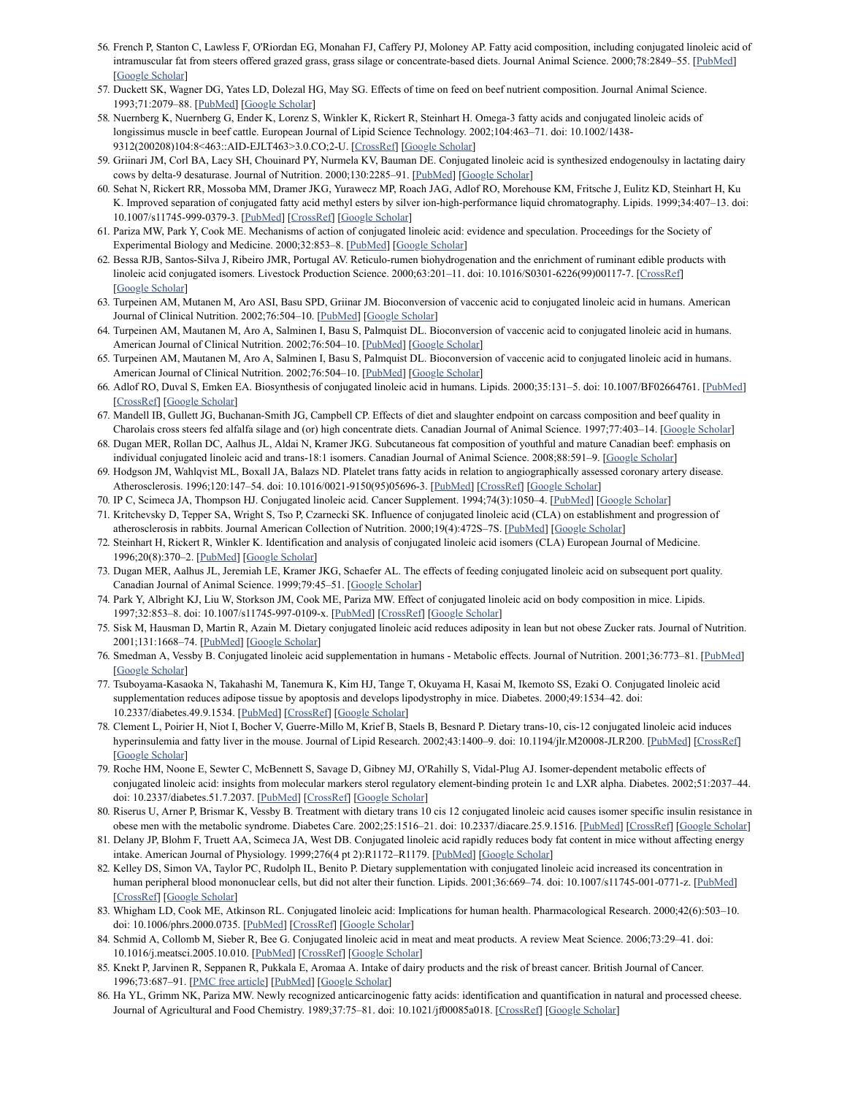- <span id="page-10-10"></span>56. French P, Stanton C, Lawless F, O'Riordan EG, Monahan FJ, Caffery PJ, Moloney AP. Fatty acid composition, including conjugated linoleic acid of intramuscular fat from steers offered grazed grass, grass silage or concentrate-based diets. Journal Animal Science. 2000;78:2849-55. [\[PubMed](https://www.ncbi.nlm.nih.gov/pubmed/11063308)] [Google [Scholar](https://scholar.google.com/scholar_lookup?journal=Journal+Animal+Science&title=Fatty+acid+composition,+including+conjugated+linoleic+acid+of+intramuscular+fat+from+steers+offered+grazed+grass,+grass+silage+or+concentrate-based+diets&author=P+French&author=C+Stanton&author=F+Lawless&author=EG+O%27Riordan&author=FJ+Monahan&volume=78&publication_year=2000&pages=2849-55&)]
- <span id="page-10-0"></span>57. Duckett SK, Wagner DG, Yates LD, Dolezal HG, May SG. Effects of time on feed on beef nutrient composition. Journal Animal Science. 1993;71:2079–88. [[PubMed](https://www.ncbi.nlm.nih.gov/pubmed/8376232)] [Google [Scholar\]](https://scholar.google.com/scholar_lookup?journal=Journal+Animal+Science&title=Effects+of+time+on+feed+on+beef+nutrient+composition&author=SK+Duckett&author=DG+Wagner&author=LD+Yates&author=HG+Dolezal&author=SG+May&volume=71&publication_year=1993&pages=2079-88&)
- <span id="page-10-1"></span>58. Nuernberg K, Nuernberg G, Ender K, Lorenz S, Winkler K, Rickert R, Steinhart H. Omega-3 fatty acids and conjugated linoleic acids of longissimus muscle in beef cattle. European Journal of Lipid Science Technology. 2002;104:463–71. doi: 10.1002/1438- 9312(200208)104:8<463::AID-EJLT463>3.0.CO;2-U. [[CrossRef\]](https://dx.doi.org/10.1002%2F1438-9312(200208)104%3A8%3C463%3A%3AAID-EJLT463%3E3.0.CO%3B2-U) [Google [Scholar\]](https://scholar.google.com/scholar_lookup?journal=European+Journal+of+Lipid+Science+Technology&title=Omega-3+fatty+acids+and+conjugated+linoleic+acids+of+longissimus+muscle+in+beef+cattle&author=K+Nuernberg&author=G+Nuernberg&author=K+Ender&author=S+Lorenz&author=K+Winkler&volume=104&publication_year=2002&pages=463-71&doi=10.1002/1438-9312(200208)104:8%3C463::AID-EJLT463%3E3.0.CO;2-U&)
- <span id="page-10-2"></span>59. Griinari JM, Corl BA, Lacy SH, Chouinard PY, Nurmela KV, Bauman DE. Conjugated linoleic acid is synthesized endogenoulsy in lactating dairy cows by delta-9 desaturase. Journal of Nutrition. 2000;130:2285-91. [\[PubMed\]](https://www.ncbi.nlm.nih.gov/pubmed/10958825) [Google [Scholar](https://scholar.google.com/scholar_lookup?journal=Journal+of+Nutrition&title=Conjugated+linoleic+acid+is+synthesized+endogenoulsy+in+lactating+dairy+cows+by+delta-9+desaturase&author=JM+Griinari&author=BA+Corl&author=SH+Lacy&author=PY+Chouinard&author=KV+Nurmela&volume=130&publication_year=2000&pages=2285-91&pmid=10958825&)]
- <span id="page-10-3"></span>60. Sehat N, Rickert RR, Mossoba MM, Dramer JKG, Yurawecz MP, Roach JAG, Adlof RO, Morehouse KM, Fritsche J, Eulitz KD, Steinhart H, Ku K. Improved separation of conjugated fatty acid methyl esters by silver ion-high-performance liquid chromatography. Lipids. 1999;34:407–13. doi: 10.1007/s11745-999-0379-3. [\[PubMed\]](https://www.ncbi.nlm.nih.gov/pubmed/10443974) [[CrossRef\]](https://dx.doi.org/10.1007%2Fs11745-999-0379-3) [Google [Scholar\]](https://scholar.google.com/scholar_lookup?journal=Lipids&title=Improved+separation+of+conjugated+fatty+acid+methyl+esters+by+silver+ion-high-performance+liquid+chromatography&author=N+Sehat&author=RR+Rickert&author=MM+Mossoba&author=JKG+Dramer&author=MP+Yurawecz&volume=34&publication_year=1999&pages=407-13&pmid=10443974&doi=10.1007/s11745-999-0379-3&)
- <span id="page-10-4"></span>61. Pariza MW, Park Y, Cook ME. Mechanisms of action of conjugated linoleic acid: evidence and speculation. Proceedings for the Society of Experimental Biology and Medicine. 2000;32:853–8. [\[PubMed\]](https://www.ncbi.nlm.nih.gov/pubmed/10632956) [Google [Scholar\]](https://scholar.google.com/scholar_lookup?journal=Proceedings+for+the+Society+of+Experimental+Biology+and+Medicine&title=Mechanisms+of+action+of+conjugated+linoleic+acid:+evidence+and+speculation&author=MW+Pariza&author=Y+Park&author=ME+Cook&volume=32&publication_year=2000&pages=853-8&)
- <span id="page-10-5"></span>62. Bessa RJB, Santos-Silva J, Ribeiro JMR, Portugal AV. Reticulo-rumen biohydrogenation and the enrichment of ruminant edible products with linoleic acid conjugated isomers. Livestock Production Science. 2000;63:201–11. doi: 10.1016/S0301-6226(99)00117-7. [[CrossRef](https://dx.doi.org/10.1016%2FS0301-6226(99)00117-7)] [Google [Scholar](https://scholar.google.com/scholar_lookup?journal=Livestock+Production+Science&title=Reticulo-rumen+biohydrogenation+and+the+enrichment+of+ruminant+edible+products+with+linoleic+acid+conjugated+isomers&author=RJB+Bessa&author=J+Santos-Silva&author=JMR+Ribeiro&author=AV+Portugal&volume=63&publication_year=2000&pages=201-11&doi=10.1016/S0301-6226(99)00117-7&)]
- <span id="page-10-6"></span>63. Turpeinen AM, Mutanen M, Aro ASI, Basu SPD, Griinar JM. Bioconversion of vaccenic acid to conjugated linoleic acid in humans. American Journal of Clinical Nutrition. 2002;76:504-10. [\[PubMed\]](https://www.ncbi.nlm.nih.gov/pubmed/12197992) [Google [Scholar](https://scholar.google.com/scholar_lookup?journal=American+Journal+of+Clinical+Nutrition&title=Bioconversion+of+vaccenic+acid+to+conjugated+linoleic+acid+in+humans&author=AM+Turpeinen&author=M+Mutanen&author=ASI+Aro&author=SPD+Basu&author=JM+Griinar&volume=76&publication_year=2002&pages=504-10&pmid=12197992&)]
- <span id="page-10-7"></span>64. Turpeinen AM, Mautanen M, Aro A, Salminen I, Basu S, Palmquist DL. Bioconversion of vaccenic acid to conjugated linoleic acid in humans. American Journal of Clinical Nutrition. 2002;76:504-10. [[PubMed](https://www.ncbi.nlm.nih.gov/pubmed/12197992)] [Google [Scholar](https://scholar.google.com/scholar_lookup?journal=American+Journal+of+Clinical+Nutrition&title=Bioconversion+of+vaccenic+acid+to+conjugated+linoleic+acid+in+humans&author=AM+Turpeinen&author=M+Mautanen&author=A+Aro&author=I+Salminen&author=S+Basu&volume=76&publication_year=2002&pages=504-10&pmid=12197992&)]
- <span id="page-10-8"></span>65. Turpeinen AM, Mautanen M, Aro A, Salminen I, Basu S, Palmquist DL. Bioconversion of vaccenic acid to conjugated linoleic acid in humans. American Journal of Clinical Nutrition. 2002;76:504-10. [[PubMed](https://www.ncbi.nlm.nih.gov/pubmed/12197992)] [Google [Scholar](https://scholar.google.com/scholar_lookup?journal=American+Journal+of+Clinical+Nutrition&title=Bioconversion+of+vaccenic+acid+to+conjugated+linoleic+acid+in+humans&author=AM+Turpeinen&author=M+Mautanen&author=A+Aro&author=I+Salminen&author=S+Basu&volume=76&publication_year=2002&pages=504-10&pmid=12197992&)]
- <span id="page-10-9"></span>66. Adlof RO, Duval S, Emken EA. Biosynthesis of conjugated linoleic acid in humans. Lipids. 2000;35:131–5. doi: 10.1007/BF02664761. [\[PubMed\]](https://www.ncbi.nlm.nih.gov/pubmed/10757542) [[CrossRef\]](https://dx.doi.org/10.1007%2FBF02664761) [Google [Scholar](https://scholar.google.com/scholar_lookup?journal=Lipids&title=Biosynthesis+of+conjugated+linoleic+acid+in+humans&author=RO+Adlof&author=S+Duval&author=EA+Emken&volume=35&publication_year=2000&pages=131-5&pmid=10757542&doi=10.1007/BF02664761&)]
- <span id="page-10-11"></span>67. Mandell IB, Gullett JG, Buchanan-Smith JG, Campbell CP. Effects of diet and slaughter endpoint on carcass composition and beef quality in Charolais cross steers fed alfalfa silage and (or) high concentrate diets. Canadian Journal of Animal Science. 1997;77:403–14. [Google [Scholar](https://scholar.google.com/scholar_lookup?journal=Canadian+Journal+of+Animal+Science&title=Effects+of+diet+and+slaughter+endpoint+on+carcass+composition+and+beef+quality+in+Charolais+cross+steers+fed+alfalfa+silage+and+(or)+high+concentrate+diets&author=IB+Mandell&author=JG+Gullett&author=JG+Buchanan-Smith&author=CP+Campbell&volume=77&publication_year=1997&pages=403-14&)]
- <span id="page-10-12"></span>68. Dugan MER, Rollan DC, Aalhus JL, Aldai N, Kramer JKG. Subcutaneous fat composition of youthful and mature Canadian beef: emphasis on individual conjugated linoleic acid and trans-18:1 isomers. Canadian Journal of Animal Science. 2008;88:591–9. [Google [Scholar\]](https://scholar.google.com/scholar_lookup?journal=Canadian+Journal+of+Animal+Science&title=Subcutaneous+fat+composition+of+youthful+and+mature+Canadian+beef:+emphasis+on+individual+conjugated+linoleic+acid+and+trans-18:1+isomers&author=MER+Dugan&author=DC+Rollan&author=JL+Aalhus&author=N+Aldai&author=JKG+Kramer&volume=88&publication_year=2008&pages=591-9&)
- <span id="page-10-13"></span>69. Hodgson JM, Wahlqvist ML, Boxall JA, Balazs ND. Platelet trans fatty acids in relation to angiographically assessed coronary artery disease. Atherosclerosis. 1996;120:147-54. doi: 10.1016/0021-9150(95)05696-3. [\[PubMed\]](https://www.ncbi.nlm.nih.gov/pubmed/8645355) [[CrossRef\]](https://dx.doi.org/10.1016%2F0021-9150(95)05696-3) [Google [Scholar\]](https://scholar.google.com/scholar_lookup?journal=Atherosclerosis&title=Platelet+trans+fatty+acids+in+relation+to+angiographically+assessed+coronary+artery+disease&author=JM+Hodgson&author=ML+Wahlqvist&author=JA+Boxall&author=ND+Balazs&volume=120&publication_year=1996&pages=147-54&pmid=8645355&doi=10.1016/0021-9150(95)05696-3&)
- <span id="page-10-14"></span>70. IP C, Scimeca JA, Thompson HJ. Conjugated linoleic acid. Cancer Supplement. 1994;74(3):1050–4. [[PubMed\]](https://www.ncbi.nlm.nih.gov/pubmed/8039138) [Google [Scholar](https://scholar.google.com/scholar_lookup?journal=Cancer+Supplement&title=Conjugated+linoleic+acid&author=C+IP&author=JA+Scimeca&author=HJ+Thompson&volume=74&issue=3&publication_year=1994&pages=1050-4&)]
- 71. Kritchevsky D, Tepper SA, Wright S, Tso P, Czarnecki SK. Influence of conjugated linoleic acid (CLA) on establishment and progression of atherosclerosis in rabbits. Journal American Collection of Nutrition. 2000;19(4):472S–7S. [[PubMed](https://www.ncbi.nlm.nih.gov/pubmed/10963467)] [Google [Scholar](https://scholar.google.com/scholar_lookup?journal=Journal+American+Collection+of+Nutrition&title=Influence+of+conjugated+linoleic+acid+(CLA)+on+establishment+and+progression+of+atherosclerosis+in+rabbits&author=D+Kritchevsky&author=SA+Tepper&author=S+Wright&author=P+Tso&author=SK+Czarnecki&volume=19&issue=4&publication_year=2000&pages=472S-7S&)]
- <span id="page-10-15"></span>72. Steinhart H, Rickert R, Winkler K. Identification and analysis of conjugated linoleic acid isomers (CLA) European Journal of Medicine. 1996;20(8):370–2. [[PubMed](https://www.ncbi.nlm.nih.gov/pubmed/12915332)] [Google [Scholar](https://scholar.google.com/scholar_lookup?journal=European+Journal+of+Medicine&title=Identification+and+analysis+of+conjugated+linoleic+acid+isomers+(CLA)&author=H+Steinhart&author=R+Rickert&author=K+Winkler&volume=20&issue=8&publication_year=1996&pages=370-2&)]
- <span id="page-10-16"></span>73. Dugan MER, Aalhus JL, Jeremiah LE, Kramer JKG, Schaefer AL. The effects of feeding conjugated linoleic acid on subsequent port quality. Canadian Journal of Animal Science. 1999;79:45–51. [Google [Scholar\]](https://scholar.google.com/scholar_lookup?journal=Canadian+Journal+of+Animal+Science&title=The+effects+of+feeding+conjugated+linoleic+acid+on+subsequent+port+quality&author=MER+Dugan&author=JL+Aalhus&author=LE+Jeremiah&author=JKG+Kramer&author=AL+Schaefer&volume=79&publication_year=1999&pages=45-51&)
- 74. Park Y, Albright KJ, Liu W, Storkson JM, Cook ME, Pariza MW. Effect of conjugated linoleic acid on body composition in mice. Lipids. 1997;32:853–8. doi: 10.1007/s11745-997-0109-x. [[PubMed\]](https://www.ncbi.nlm.nih.gov/pubmed/9270977) [\[CrossRef](https://dx.doi.org/10.1007%2Fs11745-997-0109-x)] [Google [Scholar\]](https://scholar.google.com/scholar_lookup?journal=Lipids&title=Effect+of+conjugated+linoleic+acid+on+body+composition+in+mice&author=Y+Park&author=KJ+Albright&author=W+Liu&author=JM+Storkson&author=ME+Cook&volume=32&publication_year=1997&pages=853-8&pmid=9270977&doi=10.1007/s11745-997-0109-x&)
- 75. Sisk M, Hausman D, Martin R, Azain M. Dietary conjugated linoleic acid reduces adiposity in lean but not obese Zucker rats. Journal of Nutrition. 2001;131:1668–74. [[PubMed\]](https://www.ncbi.nlm.nih.gov/pubmed/11385051) [Google [Scholar\]](https://scholar.google.com/scholar_lookup?journal=Journal+of+Nutrition&title=Dietary+conjugated+linoleic+acid+reduces+adiposity+in+lean+but+not+obese+Zucker+rats&author=M+Sisk&author=D+Hausman&author=R+Martin&author=M+Azain&volume=131&publication_year=2001&pages=1668-74&pmid=11385051&)
- <span id="page-10-17"></span>76. Smedman A, Vessby B. Conjugated linoleic acid supplementation in humans - Metabolic effects. Journal of Nutrition. 2001;36:773–81. [[PubMed](https://www.ncbi.nlm.nih.gov/pubmed/11592727)] [Google [Scholar](https://scholar.google.com/scholar_lookup?journal=Journal+of+Nutrition&title=Conjugated+linoleic+acid+supplementation+in+humans+-+Metabolic+effects&author=A+Smedman&author=B+Vessby&volume=36&publication_year=2001&pages=773-81&)]
- <span id="page-10-18"></span>77. Tsuboyama-Kasaoka N, Takahashi M, Tanemura K, Kim HJ, Tange T, Okuyama H, Kasai M, Ikemoto SS, Ezaki O. Conjugated linoleic acid supplementation reduces adipose tissue by apoptosis and develops lipodystrophy in mice. Diabetes. 2000;49:1534–42. doi: 10.2337/diabetes.49.9.1534. [[PubMed](https://www.ncbi.nlm.nih.gov/pubmed/10969838)] [[CrossRef](https://dx.doi.org/10.2337%2Fdiabetes.49.9.1534)] [Google [Scholar](https://scholar.google.com/scholar_lookup?journal=Diabetes&title=Conjugated+linoleic+acid+supplementation+reduces+adipose+tissue+by+apoptosis+and+develops+lipodystrophy+in+mice&author=N+Tsuboyama-Kasaoka&author=M+Takahashi&author=K+Tanemura&author=HJ+Kim&author=T+Tange&volume=49&publication_year=2000&pages=1534-42&pmid=10969838&doi=10.2337/diabetes.49.9.1534&)]
- 78. Clement L, Poirier H, Niot I, Bocher V, Guerre-Millo M, Krief B, Staels B, Besnard P. Dietary trans-10, cis-12 conjugated linoleic acid induces hyperinsulemia and fatty liver in the mouse. Journal of Lipid Research. 2002;43:1400-9. doi: 10.1194/jlr.M20008-JLR200. [\[PubMed\]](https://www.ncbi.nlm.nih.gov/pubmed/12235171) [[CrossRef\]](https://dx.doi.org/10.1194%2Fjlr.M20008-JLR200) [Google [Scholar](https://scholar.google.com/scholar_lookup?journal=Journal+of+Lipid+Research&title=Dietary+trans-10,+cis-12+conjugated+linoleic+acid+induces+hyperinsulemia+and+fatty+liver+in+the+mouse&author=L+Clement&author=H+Poirier&author=I+Niot&author=V+Bocher&author=M+Guerre-Millo&volume=43&publication_year=2002&pages=1400-9&pmid=12235171&doi=10.1194/jlr.M20008-JLR200&)]
- 79. Roche HM, Noone E, Sewter C, McBennett S, Savage D, Gibney MJ, O'Rahilly S, Vidal-Plug AJ. Isomer-dependent metabolic effects of conjugated linoleic acid: insights from molecular markers sterol regulatory element-binding protein 1c and LXR alpha. Diabetes. 2002;51:2037–44. doi: 10.2337/diabetes.51.7.2037. [[PubMed](https://www.ncbi.nlm.nih.gov/pubmed/12086931)] [[CrossRef](https://dx.doi.org/10.2337%2Fdiabetes.51.7.2037)] [Google [Scholar\]](https://scholar.google.com/scholar_lookup?journal=Diabetes&title=Isomer-dependent+metabolic+effects+of+conjugated+linoleic+acid:+insights+from+molecular+markers+sterol+regulatory+element-binding+protein+1c+and+LXR+alpha&author=HM+Roche&author=E+Noone&author=C+Sewter&author=S+McBennett&author=D+Savage&volume=51&publication_year=2002&pages=2037-44&pmid=12086931&doi=10.2337/diabetes.51.7.2037&)
- 80. Riserus U, Arner P, Brismar K, Vessby B. Treatment with dietary trans 10 cis 12 conjugated linoleic acid causes isomer specific insulin resistance in obese men with the metabolic syndrome. Diabetes Care. 2002;25:1516–21. doi: 10.2337/diacare.25.9.1516. [\[PubMed\]](https://www.ncbi.nlm.nih.gov/pubmed/12196420) [[CrossRef\]](https://dx.doi.org/10.2337%2Fdiacare.25.9.1516) [Google [Scholar\]](https://scholar.google.com/scholar_lookup?journal=Diabetes+Care&title=Treatment+with+dietary+trans+10+cis+12+conjugated+linoleic+acid+causes+isomer+specific+insulin+resistance+in+obese+men+with+the+metabolic+syndrome&author=U+Riserus&author=P+Arner&author=K+Brismar&author=B+Vessby&volume=25&publication_year=2002&pages=1516-21&pmid=12196420&doi=10.2337/diacare.25.9.1516&)
- <span id="page-10-19"></span>81. Delany JP, Blohm F, Truett AA, Scimeca JA, West DB. Conjugated linoleic acid rapidly reduces body fat content in mice without affecting energy intake. American Journal of Physiology. 1999;276(4 pt 2):R1172–R1179. [[PubMed](https://www.ncbi.nlm.nih.gov/pubmed/10198400)] [Google [Scholar\]](https://scholar.google.com/scholar_lookup?journal=American+Journal+of+Physiology&title=Conjugated+linoleic+acid+rapidly+reduces+body+fat+content+in+mice+without+affecting+energy+intake&author=JP+Delany&author=F+Blohm&author=AA+Truett&author=JA+Scimeca&author=DB+West&volume=276&issue=4+pt+2&publication_year=1999&pages=R1172-R1179&pmid=10198400&)
- <span id="page-10-20"></span>82. Kelley DS, Simon VA, Taylor PC, Rudolph IL, Benito P. Dietary supplementation with conjugated linoleic acid increased its concentration in human peripheral blood mononuclear cells, but did not alter their function. Lipids. 2001;36:669-74. doi: 10.1007/s11745-001-0771-z. [[PubMed](https://www.ncbi.nlm.nih.gov/pubmed/11521964)] [[CrossRef\]](https://dx.doi.org/10.1007%2Fs11745-001-0771-z) [Google [Scholar](https://scholar.google.com/scholar_lookup?journal=Lipids&title=Dietary+supplementation+with+conjugated+linoleic+acid+increased+its+concentration+in+human+peripheral+blood+mononuclear+cells,+but+did+not+alter+their+function&author=DS+Kelley&author=VA+Simon&author=PC+Taylor&author=IL+Rudolph&author=P+Benito&volume=36&publication_year=2001&pages=669-74&pmid=11521964&doi=10.1007/s11745-001-0771-z&)]
- 83. Whigham LD, Cook ME, Atkinson RL. Conjugated linoleic acid: Implications for human health. Pharmacological Research. 2000;42(6):503–10. doi: 10.1006/phrs.2000.0735. [[PubMed](https://www.ncbi.nlm.nih.gov/pubmed/11058400)] [\[CrossRef](https://dx.doi.org/10.1006%2Fphrs.2000.0735)] [Google [Scholar](https://scholar.google.com/scholar_lookup?journal=Pharmacological+Research&title=Conjugated+linoleic+acid:+Implications+for+human+health&author=LD+Whigham&author=ME+Cook&author=RL+Atkinson&volume=42&issue=6&publication_year=2000&pages=503-10&pmid=11058400&doi=10.1006/phrs.2000.0735&)]
- <span id="page-10-21"></span>84. Schmid A, Collomb M, Sieber R, Bee G. Conjugated linoleic acid in meat and meat products. A review Meat Science. 2006;73:29–41. doi: 10.1016/j.meatsci.2005.10.010. [[PubMed](https://www.ncbi.nlm.nih.gov/pubmed/22062051)] [[CrossRef\]](https://dx.doi.org/10.1016%2Fj.meatsci.2005.10.010) [Google [Scholar\]](https://scholar.google.com/scholar_lookup?journal=A+review+Meat+Science&title=Conjugated+linoleic+acid+in+meat+and+meat+products&author=A+Schmid&author=M+Collomb&author=R+Sieber&author=G+Bee&volume=73&publication_year=2006&pages=29-41&doi=10.1016/j.meatsci.2005.10.010&)
- <span id="page-10-22"></span>85. Knekt P, Jarvinen R, Seppanen R, Pukkala E, Aromaa A. Intake of dairy products and the risk of breast cancer. British Journal of Cancer. 1996;73:687–91. [PMC free [article](https://www.ncbi.nlm.nih.gov/pmc/articles/PMC2074353/)] [[PubMed](https://www.ncbi.nlm.nih.gov/pubmed/8605108)] [Google [Scholar](https://scholar.google.com/scholar_lookup?journal=British+Journal+of+Cancer&title=Intake+of+dairy+products+and+the+risk+of+breast+cancer&author=P+Knekt&author=R+Jarvinen&author=R+Seppanen&author=E+Pukkala&author=A+Aromaa&volume=73&publication_year=1996&pages=687-91&pmid=8605108&)]
- <span id="page-10-23"></span>86. Ha YL, Grimm NK, Pariza MW. Newly recognized anticarcinogenic fatty acids: identification and quantification in natural and processed cheese. Journal of Agricultural and Food Chemistry. 1989;37:75-81. doi: 10.1021/jf00085a018. [\[CrossRef](https://dx.doi.org/10.1021%2Fjf00085a018)] [Google [Scholar](https://scholar.google.com/scholar_lookup?journal=Journal+of+Agricultural+and+Food+Chemistry&title=Newly+recognized+anticarcinogenic+fatty+acids:+identification+and+quantification+in+natural+and+processed+cheese&author=YL+Ha&author=NK+Grimm&author=MW+Pariza&volume=37&publication_year=1989&pages=75-81&doi=10.1021/jf00085a018&)]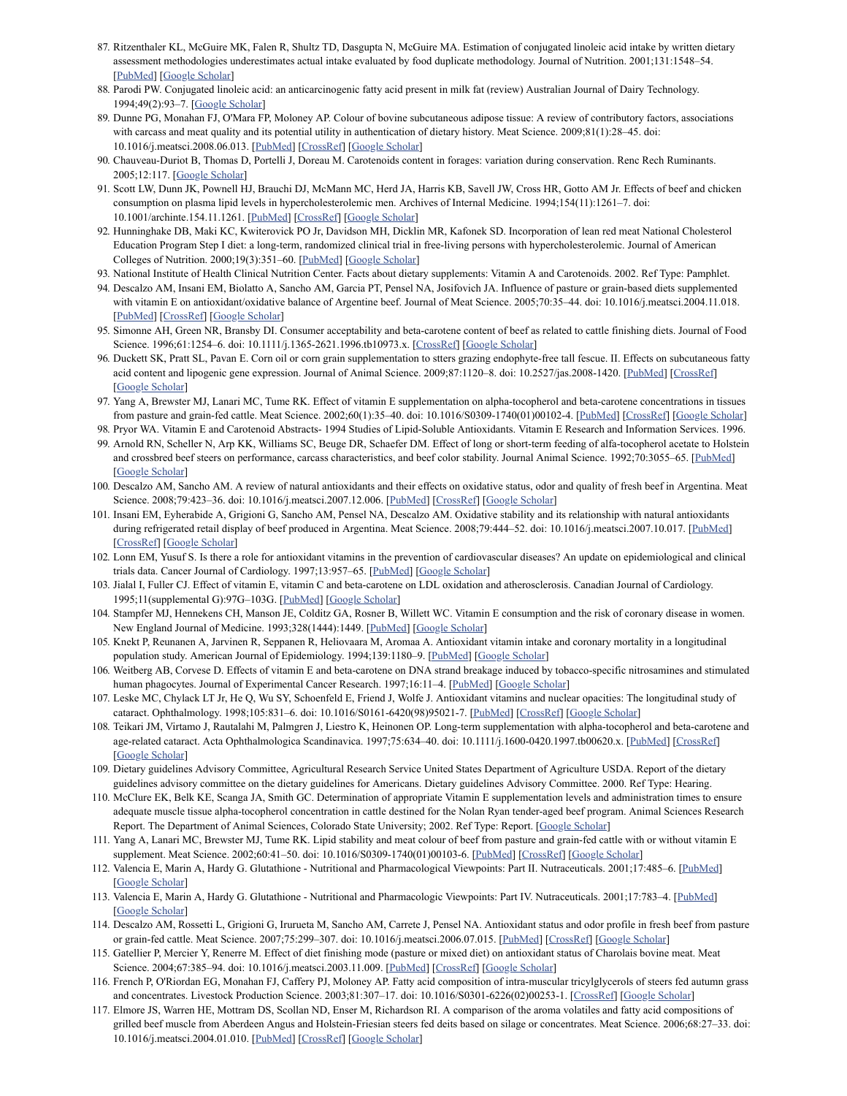- <span id="page-11-0"></span>87. Ritzenthaler KL, McGuire MK, Falen R, Shultz TD, Dasgupta N, McGuire MA. Estimation of conjugated linoleic acid intake by written dietary assessment methodologies underestimates actual intake evaluated by food duplicate methodology. Journal of Nutrition. 2001;131:1548–54. [[PubMed](https://www.ncbi.nlm.nih.gov/pubmed/11340114)] [Google [Scholar\]](https://scholar.google.com/scholar_lookup?journal=Journal+of+Nutrition&title=Estimation+of+conjugated+linoleic+acid+intake+by+written+dietary+assessment+methodologies+underestimates+actual+intake+evaluated+by+food+duplicate+methodology&author=KL+Ritzenthaler&author=MK+McGuire&author=R+Falen&author=TD+Shultz&author=N+Dasgupta&volume=131&publication_year=2001&pages=1548-54&pmid=11340114&)
- <span id="page-11-1"></span>88. Parodi PW. Conjugated linoleic acid: an anticarcinogenic fatty acid present in milk fat (review) Australian Journal of Dairy Technology. 1994;49(2):93–7. [Google [Scholar](https://scholar.google.com/scholar_lookup?journal=Australian+Journal+of+Dairy+Technology&title=Conjugated+linoleic+acid:+an+anticarcinogenic+fatty+acid+present+in+milk+fat+(review)&author=PW+Parodi&volume=49&issue=2&publication_year=1994&pages=93-7&)]
- <span id="page-11-2"></span>89. Dunne PG, Monahan FJ, O'Mara FP, Moloney AP. Colour of bovine subcutaneous adipose tissue: A review of contributory factors, associations with carcass and meat quality and its potential utility in authentication of dietary history. Meat Science. 2009;81(1):28–45. doi: 10.1016/j.meatsci.2008.06.013. [[PubMed](https://www.ncbi.nlm.nih.gov/pubmed/22063959)] [[CrossRef\]](https://dx.doi.org/10.1016%2Fj.meatsci.2008.06.013) [Google [Scholar\]](https://scholar.google.com/scholar_lookup?journal=Meat+Science&title=Colour+of+bovine+subcutaneous+adipose+tissue:+A+review+of+contributory+factors,+associations+with+carcass+and+meat+quality+and+its+potential+utility+in+authentication+of+dietary+history&author=PG+Dunne&author=FJ+Monahan&author=FP+O%27Mara&author=AP+Moloney&volume=81&issue=1&publication_year=2009&pages=28-45&doi=10.1016/j.meatsci.2008.06.013&)
- <span id="page-11-3"></span>90. Chauveau-Duriot B, Thomas D, Portelli J, Doreau M. Carotenoids content in forages: variation during conservation. Renc Rech Ruminants. 2005;12:117. [Google [Scholar](https://scholar.google.com/scholar_lookup?journal=Renc+Rech+Ruminants&title=Carotenoids+content+in+forages:+variation+during+conservation&author=B+Chauveau-Duriot&author=D+Thomas&author=J+Portelli&author=M+Doreau&volume=12&publication_year=2005&pages=117&)]
- <span id="page-11-4"></span>91. Scott LW, Dunn JK, Pownell HJ, Brauchi DJ, McMann MC, Herd JA, Harris KB, Savell JW, Cross HR, Gotto AM Jr. Effects of beef and chicken consumption on plasma lipid levels in hypercholesterolemic men. Archives of Internal Medicine. 1994;154(11):1261–7. doi: 10.1001/archinte.154.11.1261. [[PubMed\]](https://www.ncbi.nlm.nih.gov/pubmed/8203993) [\[CrossRef\]](https://dx.doi.org/10.1001%2Farchinte.154.11.1261) [\[Google](https://scholar.google.com/scholar_lookup?journal=Archives+of+Internal+Medicine&title=Effects+of+beef+and+chicken+consumption+on+plasma+lipid+levels+in+hypercholesterolemic+men&author=LW+Scott&author=JK+Dunn&author=HJ+Pownell&author=DJ+Brauchi&author=MC+McMann&volume=154&issue=11&publication_year=1994&pages=1261-7&pmid=8203993&doi=10.1001/archinte.154.11.1261&) Scholar]
- <span id="page-11-5"></span>92. Hunninghake DB, Maki KC, Kwiterovick PO Jr, Davidson MH, Dicklin MR, Kafonek SD. Incorporation of lean red meat National Cholesterol Education Program Step I diet: a long-term, randomized clinical trial in free-living persons with hypercholesterolemic. Journal of American Colleges of Nutrition. 2000;19(3):351–60. [[PubMed\]](https://www.ncbi.nlm.nih.gov/pubmed/10872897) [Google [Scholar](https://scholar.google.com/scholar_lookup?journal=Journal+of+American+Colleges+of+Nutrition&title=Incorporation+of+lean+red+meat+National+Cholesterol+Education+Program+Step+I+diet:+a+long-term,+randomized+clinical+trial+in+free-living+persons+with+hypercholesterolemic&author=DB+Hunninghake&author=KC+Maki&author=PO+Kwiterovick&author=MH+Davidson&author=MR+Dicklin&volume=19&issue=3&publication_year=2000&pages=351-60&)]
- <span id="page-11-6"></span>93. National Institute of Health Clinical Nutrition Center. Facts about dietary supplements: Vitamin A and Carotenoids. 2002. Ref Type: Pamphlet.
- <span id="page-11-7"></span>94. Descalzo AM, Insani EM, Biolatto A, Sancho AM, Garcia PT, Pensel NA, Josifovich JA. Influence of pasture or grain-based diets supplemented with vitamin E on antioxidant/oxidative balance of Argentine beef. Journal of Meat Science. 2005;70:35-44. doi: 10.1016/j.meatsci.2004.11.018. [[PubMed](https://www.ncbi.nlm.nih.gov/pubmed/22063278)] [\[CrossRef](https://dx.doi.org/10.1016%2Fj.meatsci.2004.11.018)] [Google [Scholar](https://scholar.google.com/scholar_lookup?journal=Journal+of+Meat+Science&title=Influence+of+pasture+or+grain-based+diets+supplemented+with+vitamin+E+on+antioxidant/oxidative+balance+of+Argentine+beef&author=AM+Descalzo&author=EM+Insani&author=A+Biolatto&author=AM+Sancho&author=PT+Garcia&volume=70&publication_year=2005&pages=35-44&doi=10.1016/j.meatsci.2004.11.018&)]
- <span id="page-11-8"></span>95. Simonne AH, Green NR, Bransby DI. Consumer acceptability and beta-carotene content of beef as related to cattle finishing diets. Journal of Food Science. 1996;61:1254–6. doi: 10.1111/j.1365-2621.1996.tb10973.x. [\[CrossRef](https://dx.doi.org/10.1111%2Fj.1365-2621.1996.tb10973.x)] [Google [Scholar](https://scholar.google.com/scholar_lookup?journal=Journal+of+Food+Science&title=Consumer+acceptability+and+beta-carotene+content+of+beef+as+related+to+cattle+finishing+diets&author=AH+Simonne&author=NR+Green&author=DI+Bransby&volume=61&publication_year=1996&pages=1254-6&doi=10.1111/j.1365-2621.1996.tb10973.x&)]
- 96. Duckett SK, Pratt SL, Pavan E. Corn oil or corn grain supplementation to stters grazing endophyte-free tall fescue. II. Effects on subcutaneous fatty acid content and lipogenic gene expression. Journal of Animal Science. 2009;87:1120-8. doi: 10.2527/jas.2008-1420. [\[PubMed\]](https://www.ncbi.nlm.nih.gov/pubmed/19028850) [[CrossRef\]](https://dx.doi.org/10.2527%2Fjas.2008-1420) [Google [Scholar](https://scholar.google.com/scholar_lookup?journal=Journal+of+Animal+Science&title=Corn+oil+or+corn+grain+supplementation+to+stters+grazing+endophyte-free+tall+fescue.+II.+Effects+on+subcutaneous+fatty+acid+content+and+lipogenic+gene+expression&author=SK+Duckett&author=SL+Pratt&author=E+Pavan&volume=87&publication_year=2009&pages=1120-8&pmid=19028850&doi=10.2527/jas.2008-1420&)]
- <span id="page-11-9"></span>97. Yang A, Brewster MJ, Lanari MC, Tume RK. Effect of vitamin E supplementation on alpha-tocopherol and beta-carotene concentrations in tissues from pasture and grain-fed cattle. Meat Science. 2002;60(1):35–40. doi: 10.1016/S0309-1740(01)00102-4. [[PubMed](https://www.ncbi.nlm.nih.gov/pubmed/22063103)] [\[CrossRef](https://dx.doi.org/10.1016%2FS0309-1740(01)00102-4)] [Google [Scholar](https://scholar.google.com/scholar_lookup?journal=Meat+Science&title=Effect+of+vitamin+E+supplementation+on+alpha-tocopherol+and+beta-carotene+concentrations+in+tissues+from+pasture+and+grain-fed+cattle&author=A+Yang&author=MJ+Brewster&author=MC+Lanari&author=RK+Tume&volume=60&issue=1&publication_year=2002&pages=35-40&doi=10.1016/S0309-1740(01)00102-4&)]
- <span id="page-11-11"></span><span id="page-11-10"></span>98. Pryor WA. Vitamin E and Carotenoid Abstracts- 1994 Studies of Lipid-Soluble Antioxidants. Vitamin E Research and Information Services. 1996. 99. Arnold RN, Scheller N, Arp KK, Williams SC, Beuge DR, Schaefer DM. Effect of long or short-term feeding of alfa-tocopherol acetate to Holstein
- and crossbred beef steers on performance, carcass characteristics, and beef color stability. Journal Animal Science. 1992;70:3055–65. [\[PubMed](https://www.ncbi.nlm.nih.gov/pubmed/1429281)] [Google [Scholar](https://scholar.google.com/scholar_lookup?journal=Journal+Animal+Science&title=Effect+of+long+or+short-term+feeding+of+alfa-tocopherol+acetate+to+Holstein+and+crossbred+beef+steers+on+performance,+carcass+characteristics,+and+beef+color+stability&author=RN+Arnold&author=N+Scheller&author=KK+Arp&author=SC+Williams&author=DR+Beuge&volume=70&publication_year=1992&pages=3055-65&)]
- 100. Descalzo AM, Sancho AM. A review of natural antioxidants and their effects on oxidative status, odor and quality of fresh beef in Argentina. Meat Science. 2008;79:423–36. doi: 10.1016/j.meatsci.2007.12.006. [\[PubMed\]](https://www.ncbi.nlm.nih.gov/pubmed/22062902) [[CrossRef\]](https://dx.doi.org/10.1016%2Fj.meatsci.2007.12.006) [Google [Scholar\]](https://scholar.google.com/scholar_lookup?journal=Meat+Science&title=A+review+of+natural+antioxidants+and+their+effects+on+oxidative+status,+odor+and+quality+of+fresh+beef+in+Argentina&author=AM+Descalzo&author=AM+Sancho&volume=79&publication_year=2008&pages=423-36&doi=10.1016/j.meatsci.2007.12.006&)
- <span id="page-11-12"></span>101. Insani EM, Eyherabide A, Grigioni G, Sancho AM, Pensel NA, Descalzo AM. Oxidative stability and its relationship with natural antioxidants during refrigerated retail display of beef produced in Argentina. Meat Science. 2008;79:444-52. doi: 10.1016/j.meatsci.2007.10.017. [\[PubMed\]](https://www.ncbi.nlm.nih.gov/pubmed/22062904) [[CrossRef\]](https://dx.doi.org/10.1016%2Fj.meatsci.2007.10.017) [Google [Scholar](https://scholar.google.com/scholar_lookup?journal=Meat+Science&title=Oxidative+stability+and+its+relationship+with+natural+antioxidants+during+refrigerated+retail+display+of+beef+produced+in+Argentina&author=EM+Insani&author=A+Eyherabide&author=G+Grigioni&author=AM+Sancho&author=NA+Pensel&volume=79&publication_year=2008&pages=444-52&doi=10.1016/j.meatsci.2007.10.017&)]
- <span id="page-11-13"></span>102. Lonn EM, Yusuf S. Is there a role for antioxidant vitamins in the prevention of cardiovascular diseases? An update on epidemiological and clinical trials data. Cancer Journal of Cardiology. 1997;13:957-65. [\[PubMed](https://www.ncbi.nlm.nih.gov/pubmed/9374952)] [Google [Scholar](https://scholar.google.com/scholar_lookup?journal=Cancer+Journal+of+Cardiology&title=Is+there+a+role+for+antioxidant+vitamins+in+the+prevention+of+cardiovascular+diseases?+An+update+on+epidemiological+and+clinical+trials+data&author=EM+Lonn&author=S+Yusuf&volume=13&publication_year=1997&pages=957-65&)]
- 103. Jialal I, Fuller CJ. Effect of vitamin E, vitamin C and beta-carotene on LDL oxidation and atherosclerosis. Canadian Journal of Cardiology. 1995;11(supplemental G):97G–103G. [\[PubMed](https://www.ncbi.nlm.nih.gov/pubmed/7585302)] [Google [Scholar\]](https://scholar.google.com/scholar_lookup?journal=Canadian+Journal+of+Cardiology&title=Effect+of+vitamin+E,+vitamin+C+and+beta-carotene+on+LDL+oxidation+and+atherosclerosis&author=I+Jialal&author=CJ+Fuller&volume=11&issue=supplemental+G&publication_year=1995&pages=97G-103G&pmid=7585302&)
- 104. Stampfer MJ, Hennekens CH, Manson JE, Colditz GA, Rosner B, Willett WC. Vitamin E consumption and the risk of coronary disease in women. New England Journal of Medicine. 1993;328(1444):1449. [[PubMed](https://www.ncbi.nlm.nih.gov/pubmed/8479463)] [Google [Scholar](https://scholar.google.com/scholar_lookup?journal=New+England+Journal+of+Medicine&title=Vitamin+E+consumption+and+the+risk+of+coronary+disease+in+women&author=MJ+Stampfer&author=CH+Hennekens&author=JE+Manson&author=GA+Colditz&author=B+Rosner&volume=328&issue=1444&publication_year=1993&pages=1449&)]
- <span id="page-11-14"></span>105. Knekt P, Reunanen A, Jarvinen R, Seppanen R, Heliovaara M, Aromaa A. Antioxidant vitamin intake and coronary mortality in a longitudinal population study. American Journal of Epidemiology. 1994;139:1180-9. [\[PubMed\]](https://www.ncbi.nlm.nih.gov/pubmed/8209876) [Google [Scholar\]](https://scholar.google.com/scholar_lookup?journal=American+Journal+of+Epidemiology&title=Antioxidant+vitamin+intake+and+coronary+mortality+in+a+longitudinal+population+study&author=P+Knekt&author=A+Reunanen&author=R+Jarvinen&author=R+Seppanen&author=M+Heliovaara&volume=139&publication_year=1994&pages=1180-9&pmid=8209876&)
- <span id="page-11-15"></span>106. Weitberg AB, Corvese D. Effects of vitamin E and beta-carotene on DNA strand breakage induced by tobacco-specific nitrosamines and stimulated human phagocytes. Journal of Experimental Cancer Research. 1997;16:11-4. [[PubMed](https://www.ncbi.nlm.nih.gov/pubmed/9148854)] [Google [Scholar\]](https://scholar.google.com/scholar_lookup?journal=Journal+of+Experimental+Cancer+Research&title=Effects+of+vitamin+E+and+beta-carotene+on+DNA+strand+breakage+induced+by+tobacco-specific+nitrosamines+and+stimulated+human+phagocytes&author=AB+Weitberg&author=D+Corvese&volume=16&publication_year=1997&pages=11-4&)
- <span id="page-11-16"></span>107. Leske MC, Chylack LT Jr, He Q, Wu SY, Schoenfeld E, Friend J, Wolfe J. Antioxidant vitamins and nuclear opacities: The longitudinal study of cataract. Ophthalmology. 1998;105:831–6. doi: 10.1016/S0161-6420(98)95021-7. [[PubMed](https://www.ncbi.nlm.nih.gov/pubmed/9593382)] [\[CrossRef\]](https://dx.doi.org/10.1016%2FS0161-6420(98)95021-7) [Google [Scholar](https://scholar.google.com/scholar_lookup?journal=Ophthalmology&title=Antioxidant+vitamins+and+nuclear+opacities:+The+longitudinal+study+of+cataract&author=MC+Leske&author=LT+Chylack&author=Q+He&author=SY+Wu&author=E+Schoenfeld&volume=105&publication_year=1998&pages=831-6&pmid=9593382&doi=10.1016/S0161-6420(98)95021-7&)]
- <span id="page-11-17"></span>108. Teikari JM, Virtamo J, Rautalahi M, Palmgren J, Liestro K, Heinonen OP. Long-term supplementation with alpha-tocopherol and beta-carotene and age-related cataract. Acta Ophthalmologica Scandinavica. 1997;75:634-40. doi: 10.1111/j.1600-0420.1997.tb00620.x. [\[PubMed\]](https://www.ncbi.nlm.nih.gov/pubmed/9527321) [\[CrossRef\]](https://dx.doi.org/10.1111%2Fj.1600-0420.1997.tb00620.x) [Google [Scholar](https://scholar.google.com/scholar_lookup?journal=Acta+Ophthalmologica+Scandinavica&title=Long-term+supplementation+with+alpha-tocopherol+and+beta-carotene+and+age-related+cataract&author=JM+Teikari&author=J+Virtamo&author=M+Rautalahi&author=J+Palmgren&author=K+Liestro&volume=75&publication_year=1997&pages=634-40&pmid=9527321&doi=10.1111/j.1600-0420.1997.tb00620.x&)]
- <span id="page-11-18"></span>109. Dietary guidelines Advisory Committee, Agricultural Research Service United States Department of Agriculture USDA. Report of the dietary guidelines advisory committee on the dietary guidelines for Americans. Dietary guidelines Advisory Committee. 2000. Ref Type: Hearing.
- <span id="page-11-19"></span>110. McClure EK, Belk KE, Scanga JA, Smith GC. Determination of appropriate Vitamin E supplementation levels and administration times to ensure adequate muscle tissue alpha-tocopherol concentration in cattle destined for the Nolan Ryan tender-aged beef program. Animal Sciences Research Report. The Department of Animal Sciences, Colorado State University; 2002. Ref Type: Report. [\[Google](https://scholar.google.com/scholar_lookup?title=Determination+of+appropriate+Vitamin+E+supplementation+levels+and+administration+times+to+ensure+adequate+muscle+tissue+alpha-tocopherol+concentration+in+cattle+destined+for+the+Nolan+Ryan+tender-aged+beef+program.+Animal+Sciences+Research+Report&author=EK+McClure&author=KE+Belk&author=JA+Scanga&author=GC+Smith&publication_year=2002&) Scholar]
- <span id="page-11-20"></span>111. Yang A, Lanari MC, Brewster MJ, Tume RK. Lipid stability and meat colour of beef from pasture and grain-fed cattle with or without vitamin E supplement. Meat Science. 2002;60:41-50. doi: 10.1016/S0309-1740(01)00103-6. [[PubMed\]](https://www.ncbi.nlm.nih.gov/pubmed/22063104) [[CrossRef\]](https://dx.doi.org/10.1016%2FS0309-1740(01)00103-6) [Google [Scholar\]](https://scholar.google.com/scholar_lookup?journal=Meat+Science&title=Lipid+stability+and+meat+colour+of+beef+from+pasture+and+grain-fed+cattle+with+or+without+vitamin+E+supplement&author=A+Yang&author=MC+Lanari&author=MJ+Brewster&author=RK+Tume&volume=60&publication_year=2002&pages=41-50&doi=10.1016/S0309-1740(01)00103-6&)
- <span id="page-11-21"></span>112. Valencia E, Marin A, Hardy G. Glutathione - Nutritional and Pharmacological Viewpoints: Part II. Nutraceuticals. 2001;17:485-6. [[PubMed](https://www.ncbi.nlm.nih.gov/pubmed/11399412)] [Google [Scholar](https://scholar.google.com/scholar_lookup?journal=Nutraceuticals&title=Glutathione+-+Nutritional+and+Pharmacological+Viewpoints:+Part+II&author=E+Valencia&author=A+Marin&author=G+Hardy&volume=17&publication_year=2001&pages=485-6&)]
- <span id="page-11-22"></span>113. Valencia E, Marin A, Hardy G. Glutathione - Nutritional and Pharmacologic Viewpoints: Part IV. Nutraceuticals. 2001;17:783–4. [\[PubMed\]](https://www.ncbi.nlm.nih.gov/pubmed/11527680) [Google [Scholar](https://scholar.google.com/scholar_lookup?journal=Nutraceuticals&title=Glutathione+-+Nutritional+and+Pharmacologic+Viewpoints:+Part+IV&author=E+Valencia&author=A+Marin&author=G+Hardy&volume=17&publication_year=2001&pages=783-4&)]
- <span id="page-11-23"></span>114. Descalzo AM, Rossetti L, Grigioni G, Irurueta M, Sancho AM, Carrete J, Pensel NA. Antioxidant status and odor profile in fresh beef from pasture or grain-fed cattle. Meat Science. 2007;75:299–307. doi: 10.1016/j.meatsci.2006.07.015. [[PubMed](https://www.ncbi.nlm.nih.gov/pubmed/22063662)] [\[CrossRef\]](https://dx.doi.org/10.1016%2Fj.meatsci.2006.07.015) [\[Google](https://scholar.google.com/scholar_lookup?journal=Meat+Science&title=Antioxidant+status+and+odor+profile+in+fresh+beef+from+pasture+or+grain-fed+cattle&author=AM+Descalzo&author=L+Rossetti&author=G+Grigioni&author=M+Irurueta&author=AM+Sancho&volume=75&publication_year=2007&pages=299-307&doi=10.1016/j.meatsci.2006.07.015&) Scholar]
- <span id="page-11-24"></span>115. Gatellier P, Mercier Y, Renerre M. Effect of diet finishing mode (pasture or mixed diet) on antioxidant status of Charolais bovine meat. Meat Science. 2004;67:385–94. doi: 10.1016/j.meatsci.2003.11.009. [[PubMed\]](https://www.ncbi.nlm.nih.gov/pubmed/22061512) [\[CrossRef\]](https://dx.doi.org/10.1016%2Fj.meatsci.2003.11.009) [\[Google](https://scholar.google.com/scholar_lookup?journal=Meat+Science&title=Effect+of+diet+finishing+mode+(pasture+or+mixed+diet)+on+antioxidant+status+of+Charolais+bovine+meat&author=P+Gatellier&author=Y+Mercier&author=M+Renerre&volume=67&publication_year=2004&pages=385-94&doi=10.1016/j.meatsci.2003.11.009&) Scholar]
- <span id="page-11-25"></span>116. French P, O'Riordan EG, Monahan FJ, Caffery PJ, Moloney AP. Fatty acid composition of intra-muscular tricylglycerols of steers fed autumn grass and concentrates. Livestock Production Science. 2003;81:307–17. doi: 10.1016/S0301-6226(02)00253-1. [\[CrossRef\]](https://dx.doi.org/10.1016%2FS0301-6226(02)00253-1) [\[Google](https://scholar.google.com/scholar_lookup?journal=Livestock+Production+Science&title=Fatty+acid+composition+of+intra-muscular+tricylglycerols+of+steers+fed+autumn+grass+and+concentrates&author=P+French&author=EG+O%27Riordan&author=FJ+Monahan&author=PJ+Caffery&author=AP+Moloney&volume=81&publication_year=2003&pages=307-17&doi=10.1016/S0301-6226(02)00253-1&) Scholar]
- <span id="page-11-26"></span>117. Elmore JS, Warren HE, Mottram DS, Scollan ND, Enser M, Richardson RI. A comparison of the aroma volatiles and fatty acid compositions of grilled beef muscle from Aberdeen Angus and Holstein-Friesian steers fed deits based on silage or concentrates. Meat Science. 2006;68:27–33. doi: 10.1016/j.meatsci.2004.01.010. [[PubMed](https://www.ncbi.nlm.nih.gov/pubmed/22062004)] [[CrossRef\]](https://dx.doi.org/10.1016%2Fj.meatsci.2004.01.010) [Google [Scholar\]](https://scholar.google.com/scholar_lookup?journal=Meat+Science&title=A+comparison+of+the+aroma+volatiles+and+fatty+acid+compositions+of+grilled+beef+muscle+from+Aberdeen+Angus+and+Holstein-Friesian+steers+fed+deits+based+on+silage+or+concentrates&author=JS+Elmore&author=HE+Warren&author=DS+Mottram&author=ND+Scollan&author=M+Enser&volume=68&publication_year=2006&pages=27-33&doi=10.1016/j.meatsci.2004.01.010&)